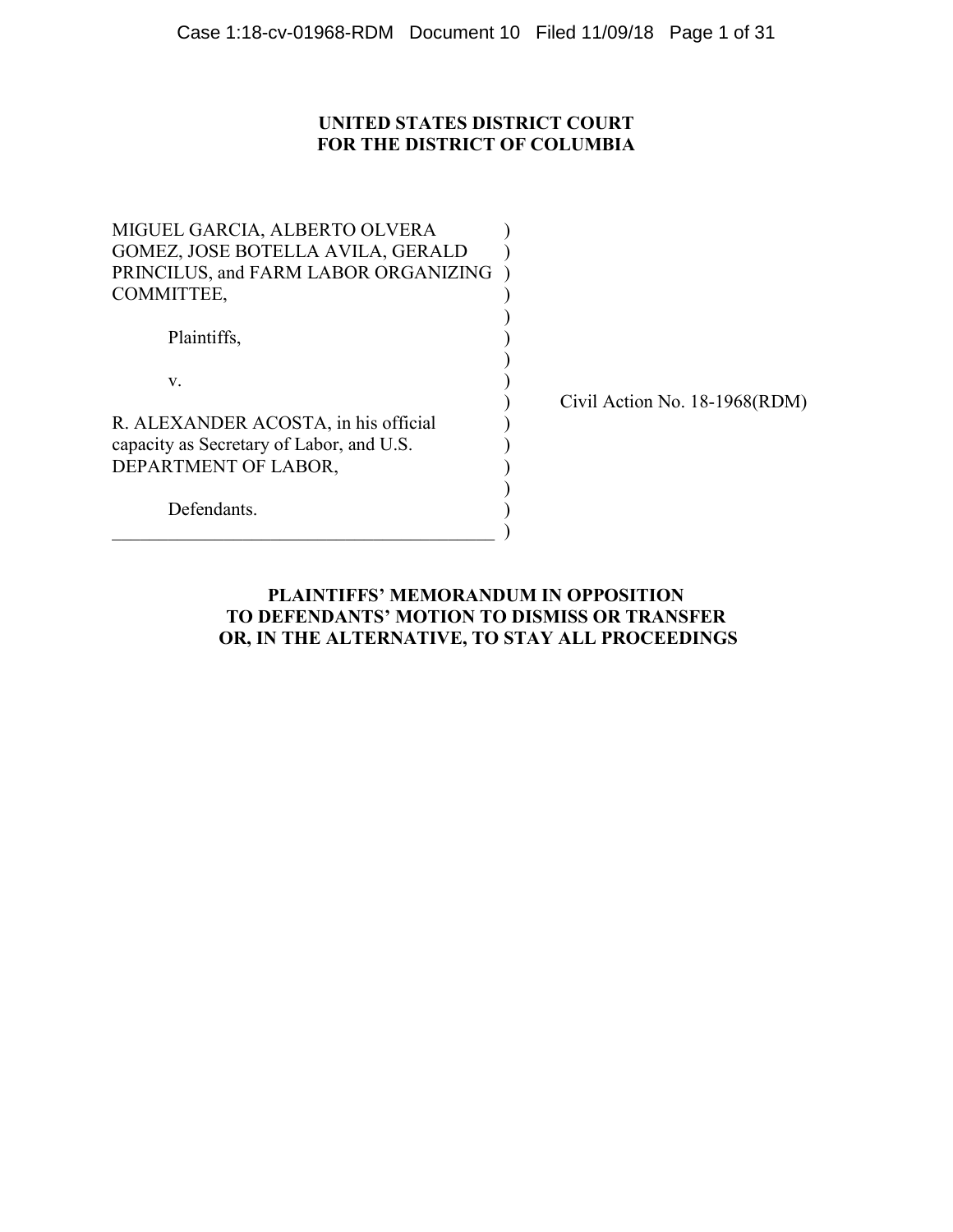# **UNITED STATES DISTRICT COURT FOR THE DISTRICT OF COLUMBIA**

| MIGUEL GARCIA, ALBERTO OLVERA            |  |
|------------------------------------------|--|
| GOMEZ, JOSE BOTELLA AVILA, GERALD        |  |
| PRINCILUS, and FARM LABOR ORGANIZING     |  |
| COMMITTEE,                               |  |
|                                          |  |
| Plaintiffs,                              |  |
|                                          |  |
| V.                                       |  |
|                                          |  |
| R. ALEXANDER ACOSTA, in his official     |  |
| capacity as Secretary of Labor, and U.S. |  |
| DEPARTMENT OF LABOR,                     |  |
|                                          |  |
| Defendants.                              |  |
|                                          |  |

) Civil Action No. 18-1968(RDM)

# **PLAINTIFFS' MEMORANDUM IN OPPOSITION TO DEFENDANTS' MOTION TO DISMISS OR TRANSFER OR, IN THE ALTERNATIVE, TO STAY ALL PROCEEDINGS**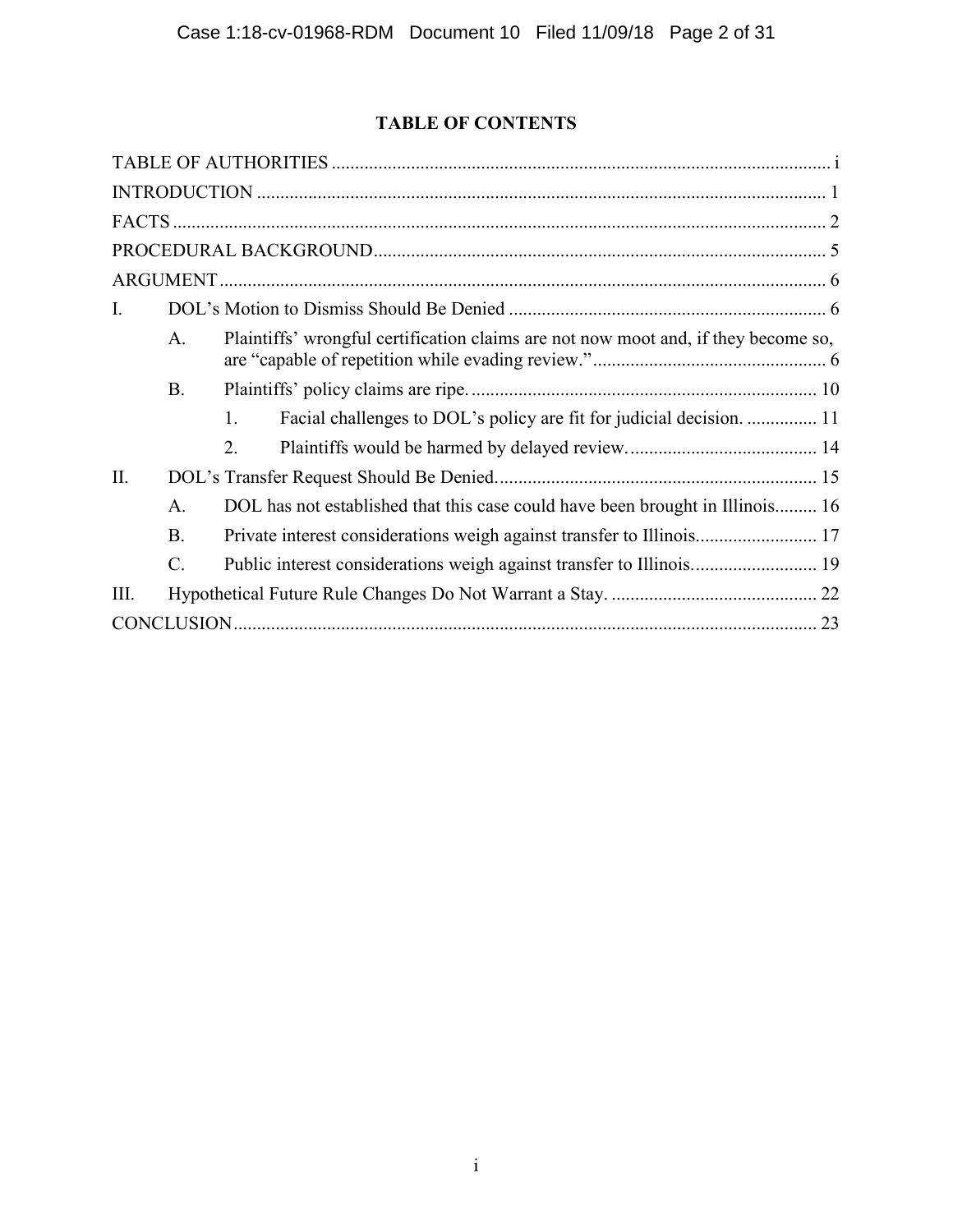# **TABLE OF CONTENTS**

<span id="page-1-0"></span>

| $\mathbf{I}$ .                                                                                       |  |
|------------------------------------------------------------------------------------------------------|--|
| Plaintiffs' wrongful certification claims are not now moot and, if they become so,<br>A <sub>1</sub> |  |
| <b>B.</b>                                                                                            |  |
| Facial challenges to DOL's policy are fit for judicial decision.  11<br>$\mathbf{1}$ .               |  |
| 2.                                                                                                   |  |
| II.                                                                                                  |  |
| DOL has not established that this case could have been brought in Illinois 16<br>$A$ .               |  |
| B.                                                                                                   |  |
| $\mathcal{C}$ .                                                                                      |  |
| Ш.                                                                                                   |  |
|                                                                                                      |  |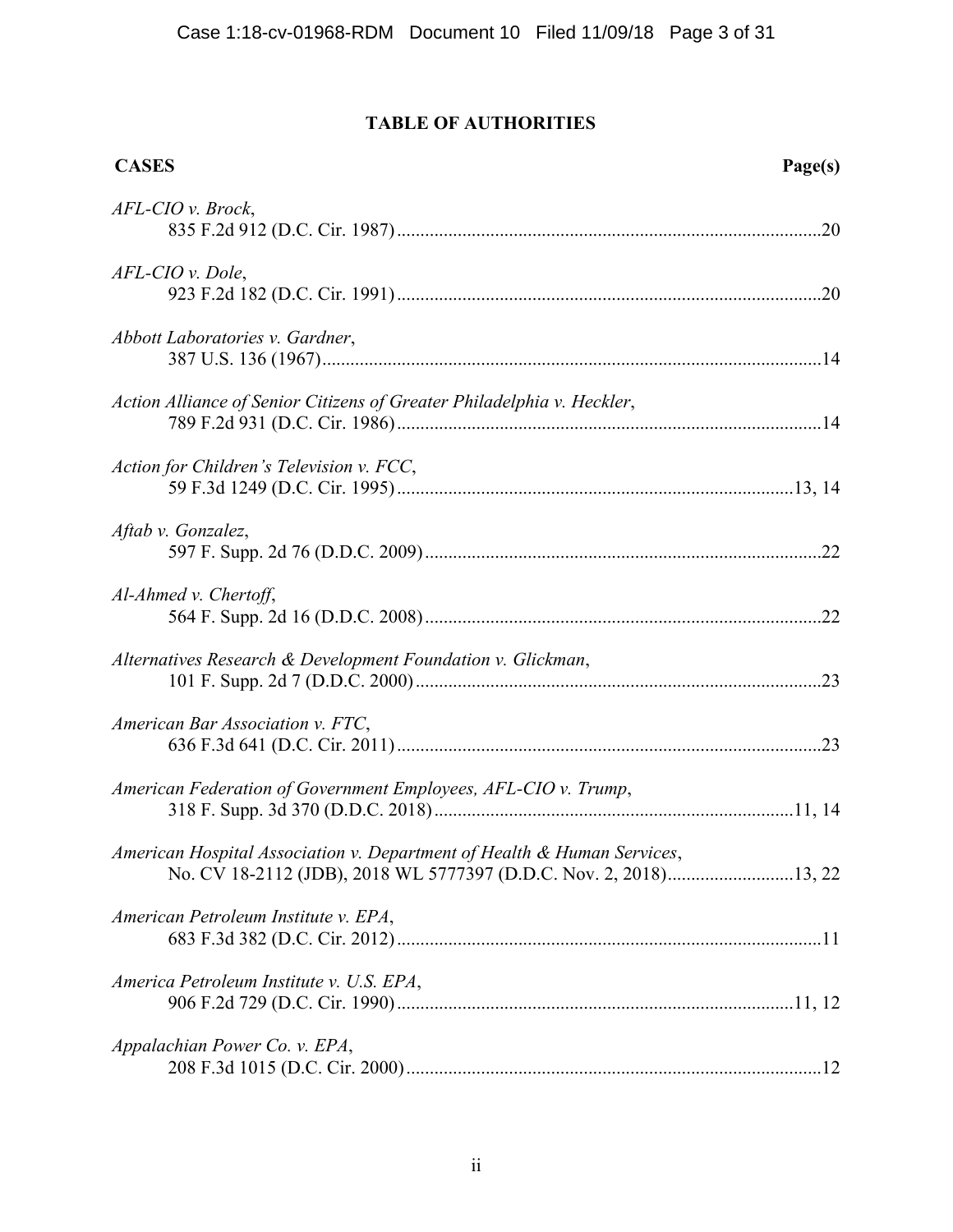# **TABLE OF AUTHORITIES**

| <b>CASES</b>                                                            | Page(s) |
|-------------------------------------------------------------------------|---------|
| AFL-CIO v. Brock,                                                       |         |
| AFL-CIO v. Dole,                                                        |         |
| Abbott Laboratories v. Gardner,                                         |         |
| Action Alliance of Senior Citizens of Greater Philadelphia v. Heckler,  |         |
| Action for Children's Television v. FCC,                                |         |
| Aftab v. Gonzalez,                                                      |         |
| Al-Ahmed v. Chertoff,                                                   |         |
| Alternatives Research & Development Foundation v. Glickman,             |         |
| American Bar Association v. FTC,                                        |         |
| American Federation of Government Employees, AFL-CIO v. Trump,          |         |
| American Hospital Association v. Department of Health & Human Services, |         |
| American Petroleum Institute v. EPA,                                    |         |
| America Petroleum Institute v. U.S. EPA,                                |         |
| Appalachian Power Co. v. EPA,                                           |         |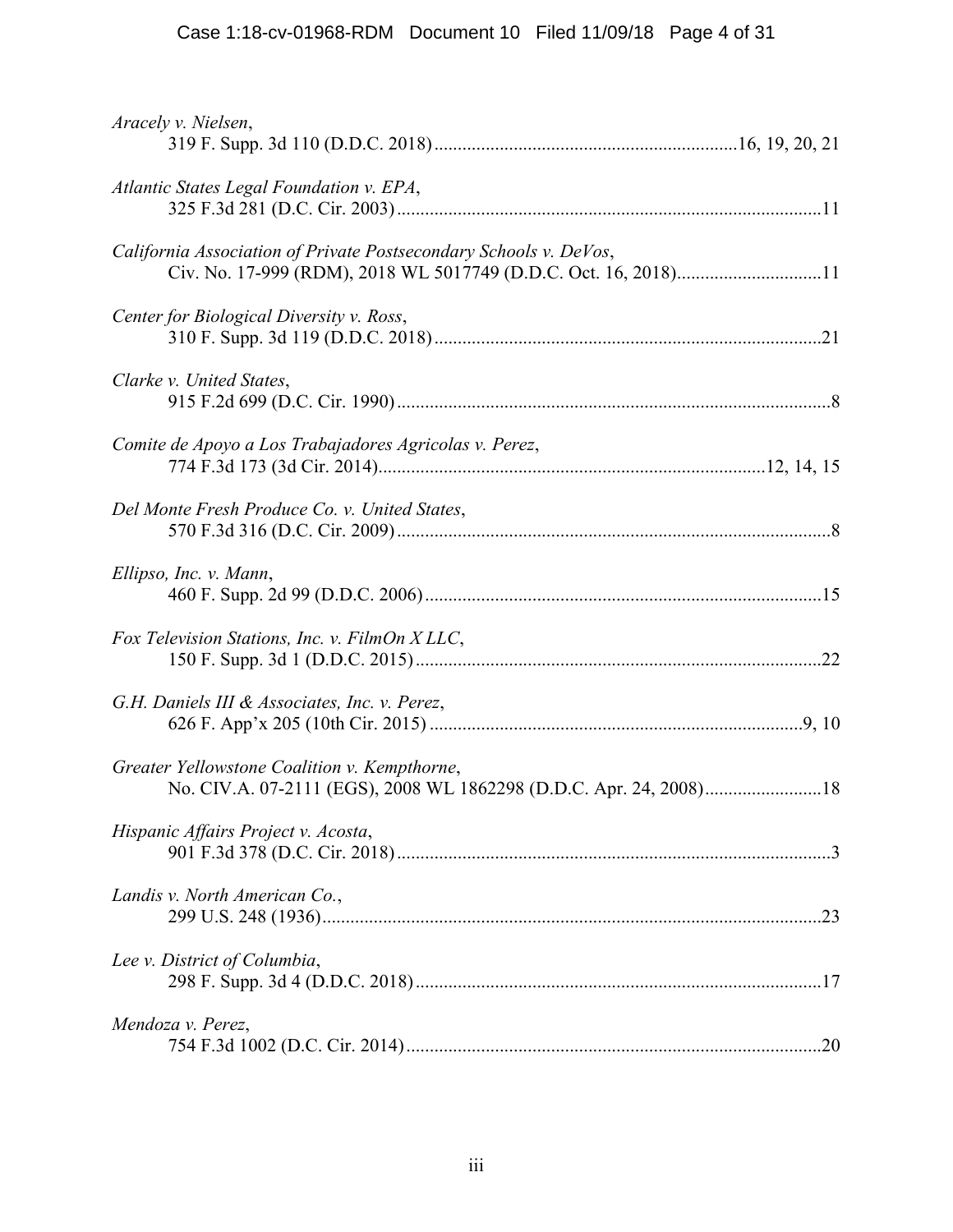| Aracely v. Nielsen,                                                                                                                  |  |
|--------------------------------------------------------------------------------------------------------------------------------------|--|
| Atlantic States Legal Foundation v. EPA,                                                                                             |  |
| California Association of Private Postsecondary Schools v. DeVos,<br>Civ. No. 17-999 (RDM), 2018 WL 5017749 (D.D.C. Oct. 16, 2018)11 |  |
| Center for Biological Diversity v. Ross,                                                                                             |  |
| Clarke v. United States,                                                                                                             |  |
| Comite de Apoyo a Los Trabajadores Agricolas v. Perez,                                                                               |  |
| Del Monte Fresh Produce Co. v. United States,                                                                                        |  |
| Ellipso, Inc. v. Mann,                                                                                                               |  |
| Fox Television Stations, Inc. v. FilmOn XLLC,                                                                                        |  |
| G.H. Daniels III & Associates, Inc. v. Perez,                                                                                        |  |
| Greater Yellowstone Coalition v. Kempthorne,                                                                                         |  |
| Hispanic Affairs Project v. Acosta,                                                                                                  |  |
| Landis v. North American Co.,                                                                                                        |  |
| Lee v. District of Columbia,                                                                                                         |  |
| Mendoza v. Perez,                                                                                                                    |  |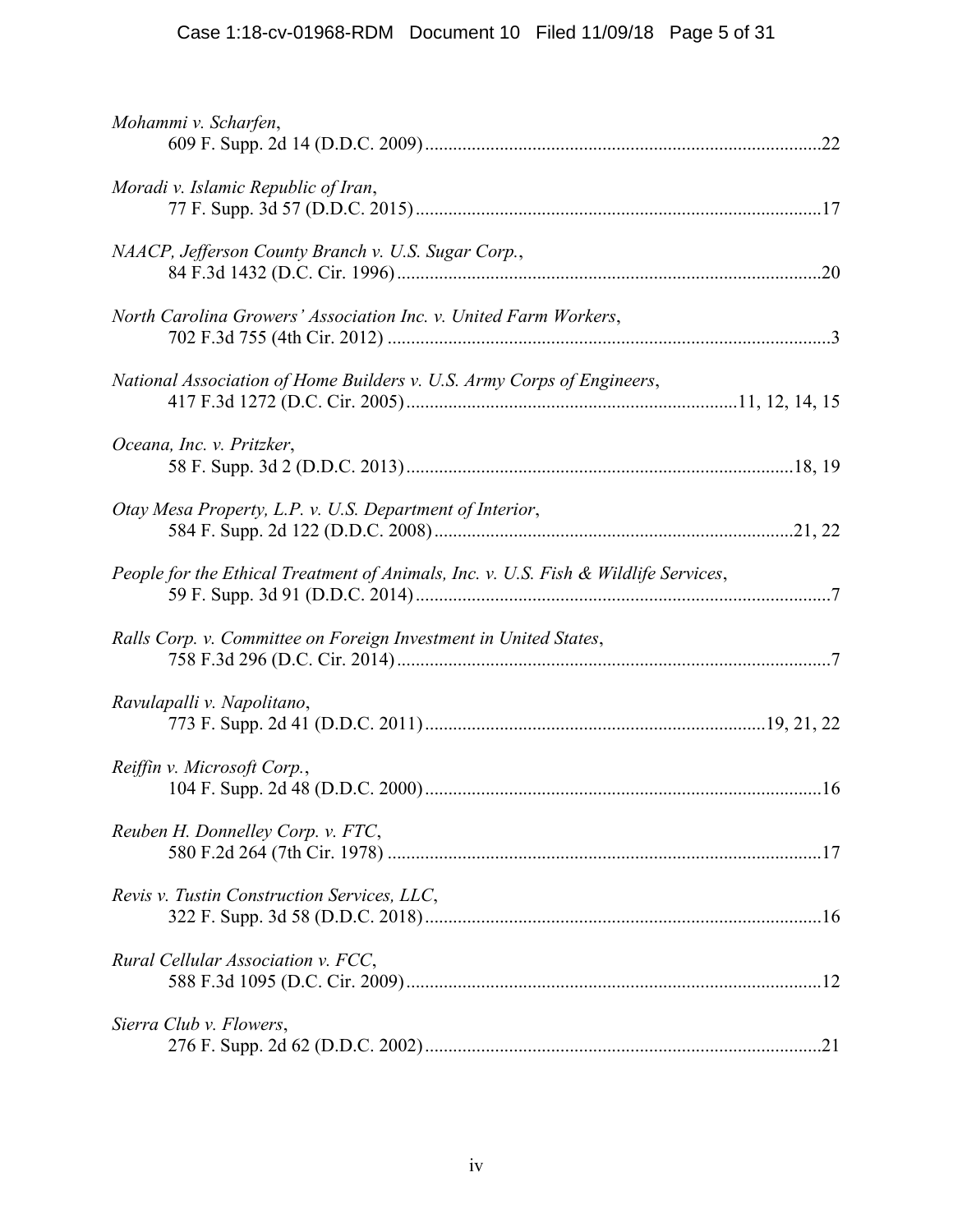| Mohammi v. Scharfen,                                                                |  |
|-------------------------------------------------------------------------------------|--|
| Moradi v. Islamic Republic of Iran,                                                 |  |
| NAACP, Jefferson County Branch v. U.S. Sugar Corp.,                                 |  |
| North Carolina Growers' Association Inc. v. United Farm Workers,                    |  |
| National Association of Home Builders v. U.S. Army Corps of Engineers,              |  |
| Oceana, Inc. v. Pritzker,                                                           |  |
| Otay Mesa Property, L.P. v. U.S. Department of Interior,                            |  |
| People for the Ethical Treatment of Animals, Inc. v. U.S. Fish & Wildlife Services, |  |
| Ralls Corp. v. Committee on Foreign Investment in United States,                    |  |
| Ravulapalli v. Napolitano,                                                          |  |
| Reiffin v. Microsoft Corp.,                                                         |  |
| Reuben H. Donnelley Corp. v. FTC,                                                   |  |
| Revis v. Tustin Construction Services, LLC,                                         |  |
| Rural Cellular Association v. FCC,                                                  |  |
| Sierra Club v. Flowers,                                                             |  |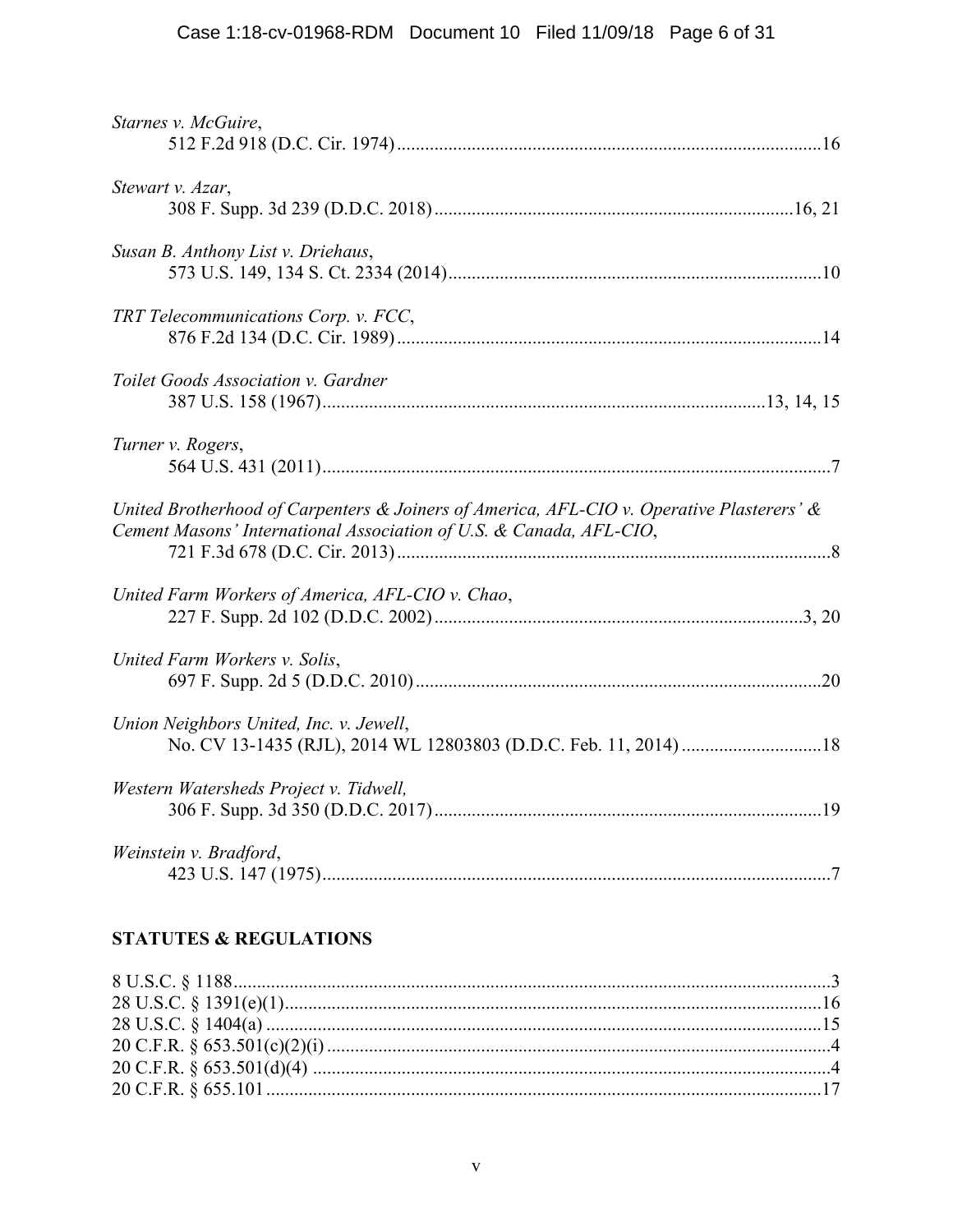| Starnes v. McGuire,                                                                                                                                              |
|------------------------------------------------------------------------------------------------------------------------------------------------------------------|
| Stewart v. Azar,                                                                                                                                                 |
| Susan B. Anthony List v. Driehaus,                                                                                                                               |
| TRT Telecommunications Corp. v. FCC,                                                                                                                             |
| Toilet Goods Association v. Gardner                                                                                                                              |
| Turner v. Rogers,                                                                                                                                                |
| United Brotherhood of Carpenters & Joiners of America, AFL-CIO v. Operative Plasterers' &<br>Cement Masons' International Association of U.S. & Canada, AFL-CIO, |
| United Farm Workers of America, AFL-CIO v. Chao,                                                                                                                 |
| United Farm Workers v. Solis,                                                                                                                                    |
| Union Neighbors United, Inc. v. Jewell,                                                                                                                          |
| Western Watersheds Project v. Tidwell,                                                                                                                           |
| Weinstein v. Bradford,                                                                                                                                           |

# **STATUTES & REGULATIONS**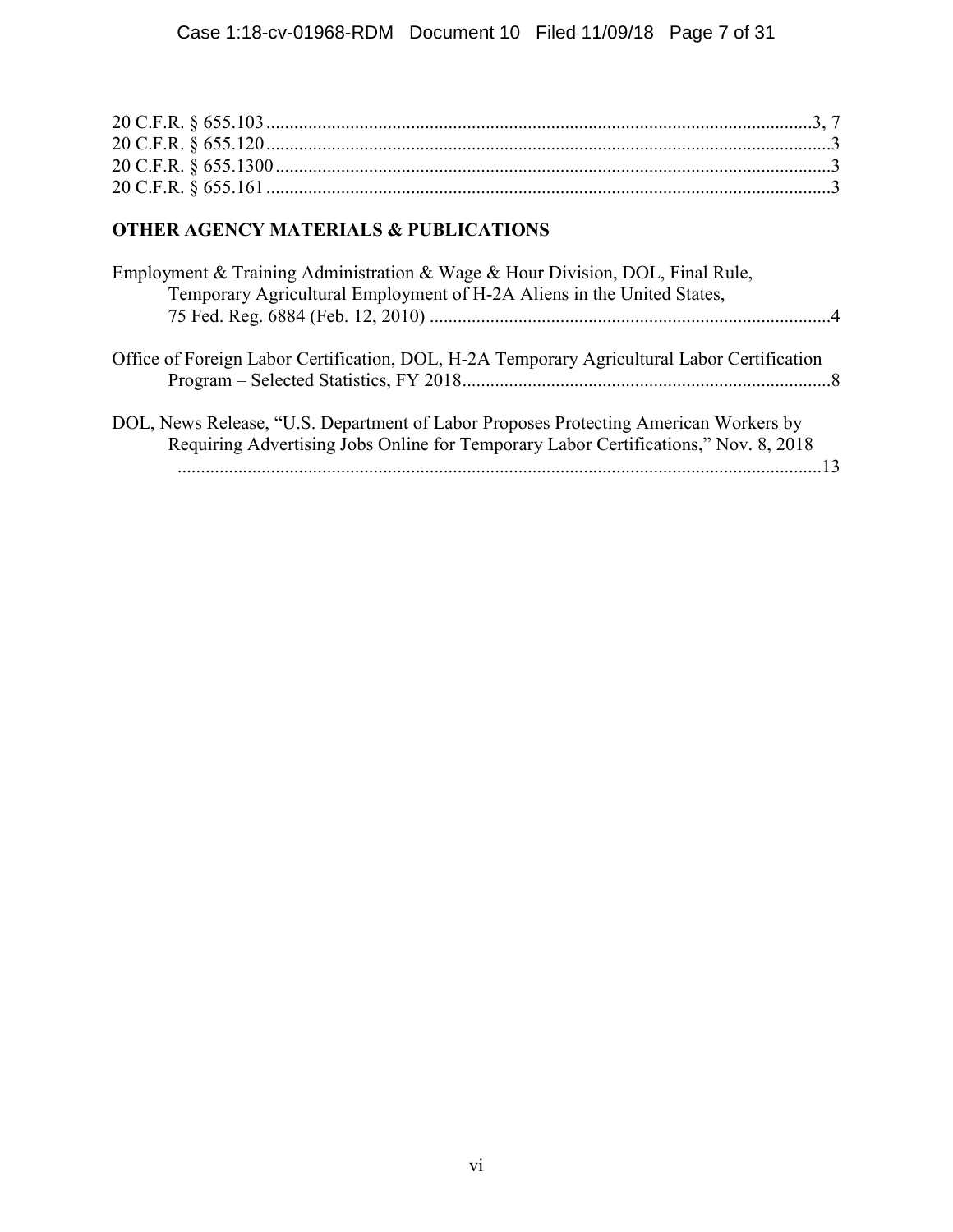# **OTHER AGENCY MATERIALS & PUBLICATIONS**

| Employment & Training Administration & Wage & Hour Division, DOL, Final Rule,<br>Temporary Agricultural Employment of H-2A Aliens in the United States,                     |  |
|-----------------------------------------------------------------------------------------------------------------------------------------------------------------------------|--|
| Office of Foreign Labor Certification, DOL, H-2A Temporary Agricultural Labor Certification                                                                                 |  |
| DOL, News Release, "U.S. Department of Labor Proposes Protecting American Workers by<br>Requiring Advertising Jobs Online for Temporary Labor Certifications," Nov. 8, 2018 |  |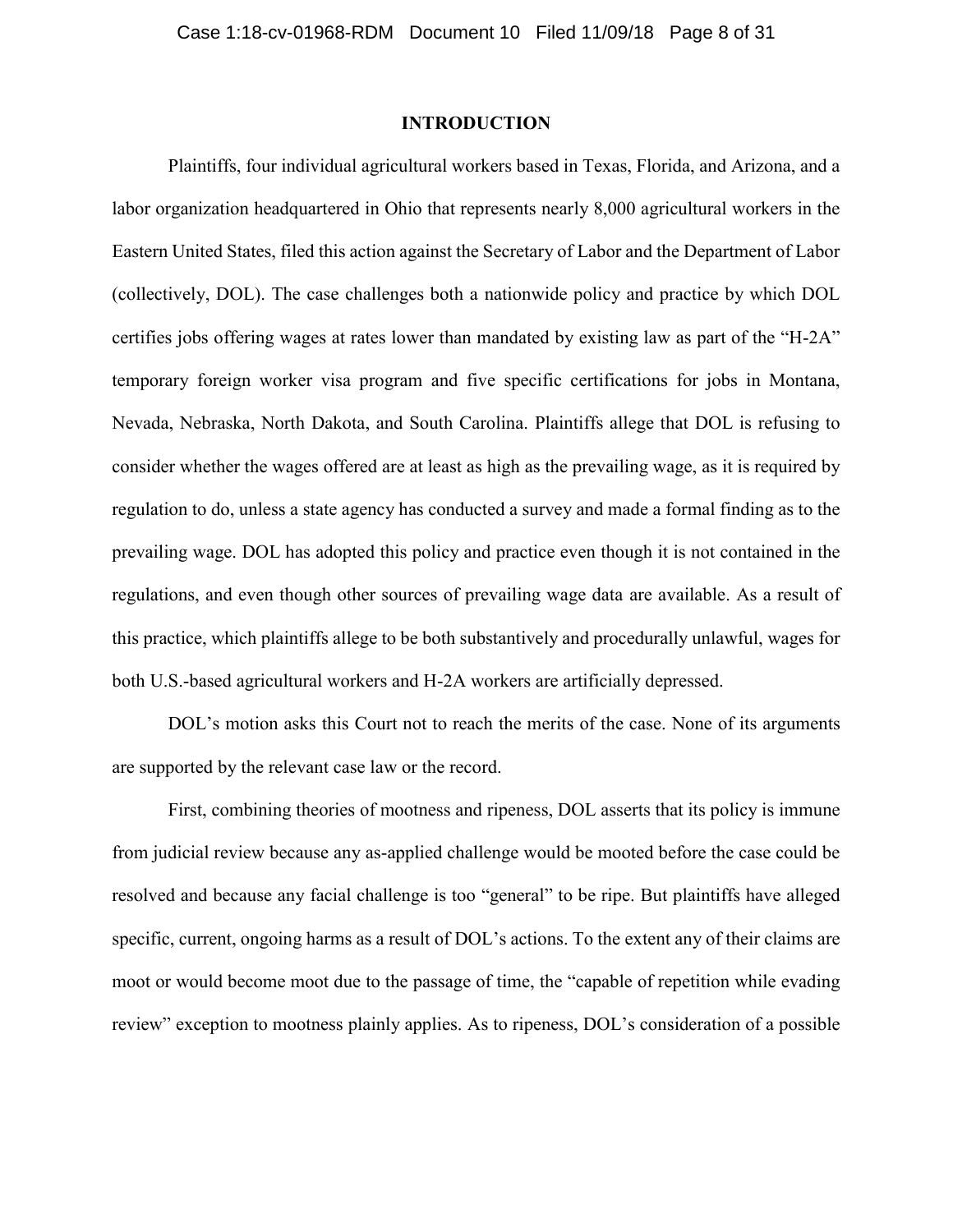# **INTRODUCTION**

<span id="page-7-0"></span>Plaintiffs, four individual agricultural workers based in Texas, Florida, and Arizona, and a labor organization headquartered in Ohio that represents nearly 8,000 agricultural workers in the Eastern United States, filed this action against the Secretary of Labor and the Department of Labor (collectively, DOL). The case challenges both a nationwide policy and practice by which DOL certifies jobs offering wages at rates lower than mandated by existing law as part of the "H-2A" temporary foreign worker visa program and five specific certifications for jobs in Montana, Nevada, Nebraska, North Dakota, and South Carolina. Plaintiffs allege that DOL is refusing to consider whether the wages offered are at least as high as the prevailing wage, as it is required by regulation to do, unless a state agency has conducted a survey and made a formal finding as to the prevailing wage. DOL has adopted this policy and practice even though it is not contained in the regulations, and even though other sources of prevailing wage data are available. As a result of this practice, which plaintiffs allege to be both substantively and procedurally unlawful, wages for both U.S.-based agricultural workers and H-2A workers are artificially depressed.

DOL's motion asks this Court not to reach the merits of the case. None of its arguments are supported by the relevant case law or the record.

First, combining theories of mootness and ripeness, DOL asserts that its policy is immune from judicial review because any as-applied challenge would be mooted before the case could be resolved and because any facial challenge is too "general" to be ripe. But plaintiffs have alleged specific, current, ongoing harms as a result of DOL's actions. To the extent any of their claims are moot or would become moot due to the passage of time, the "capable of repetition while evading review" exception to mootness plainly applies. As to ripeness, DOL's consideration of a possible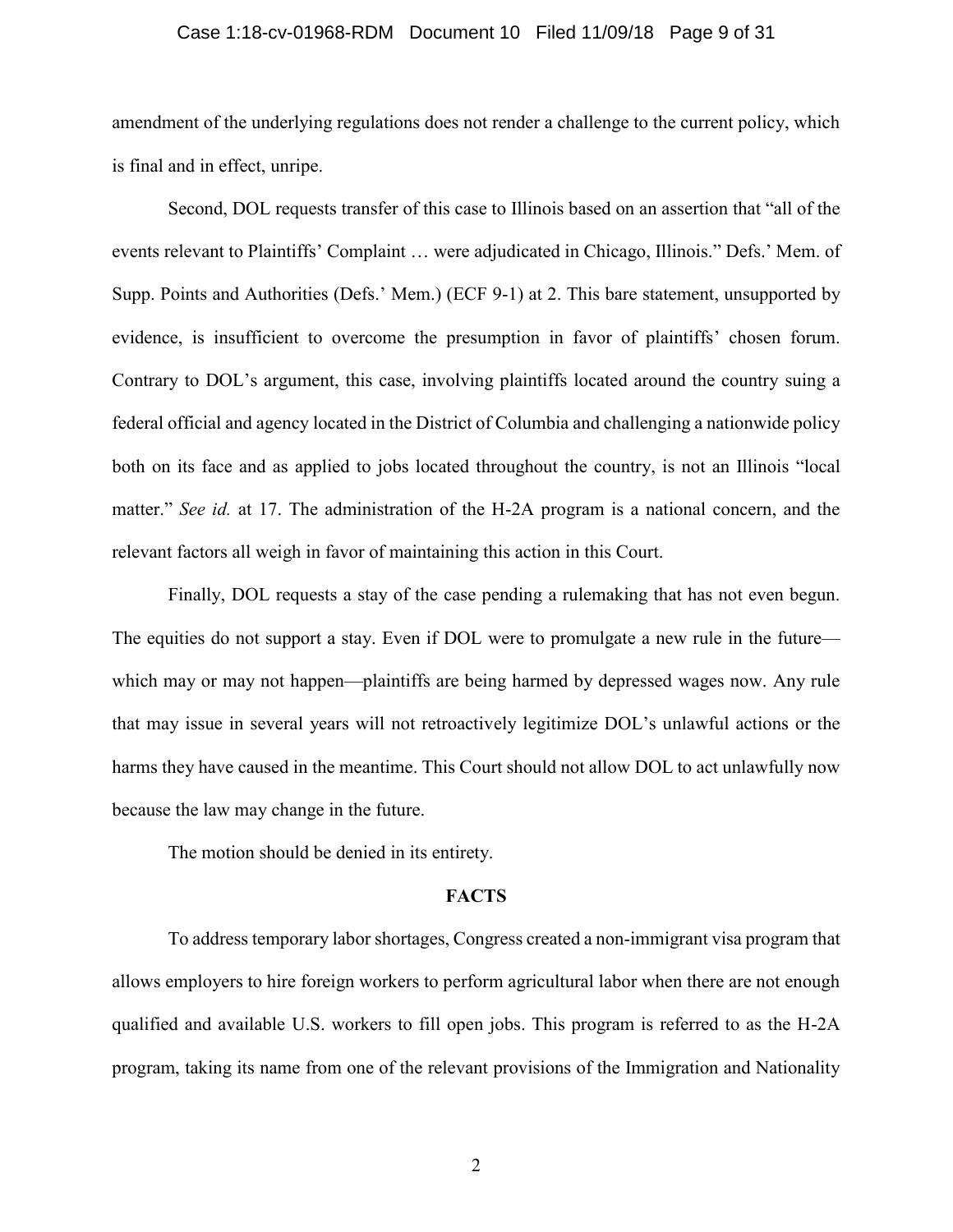## Case 1:18-cv-01968-RDM Document 10 Filed 11/09/18 Page 9 of 31

amendment of the underlying regulations does not render a challenge to the current policy, which is final and in effect, unripe.

Second, DOL requests transfer of this case to Illinois based on an assertion that "all of the events relevant to Plaintiffs' Complaint … were adjudicated in Chicago, Illinois." Defs.' Mem. of Supp. Points and Authorities (Defs.' Mem.) (ECF 9-1) at 2. This bare statement, unsupported by evidence, is insufficient to overcome the presumption in favor of plaintiffs' chosen forum. Contrary to DOL's argument, this case, involving plaintiffs located around the country suing a federal official and agency located in the District of Columbia and challenging a nationwide policy both on its face and as applied to jobs located throughout the country, is not an Illinois "local matter." *See id.* at 17. The administration of the H-2A program is a national concern, and the relevant factors all weigh in favor of maintaining this action in this Court.

Finally, DOL requests a stay of the case pending a rulemaking that has not even begun. The equities do not support a stay. Even if DOL were to promulgate a new rule in the future which may or may not happen—plaintiffs are being harmed by depressed wages now. Any rule that may issue in several years will not retroactively legitimize DOL's unlawful actions or the harms they have caused in the meantime. This Court should not allow DOL to act unlawfully now because the law may change in the future.

The motion should be denied in its entirety.

#### **FACTS**

To address temporary labor shortages, Congress created a non-immigrant visa program that allows employers to hire foreign workers to perform agricultural labor when there are not enough qualified and available U.S. workers to fill open jobs. This program is referred to as the H-2A program, taking its name from one of the relevant provisions of the Immigration and Nationality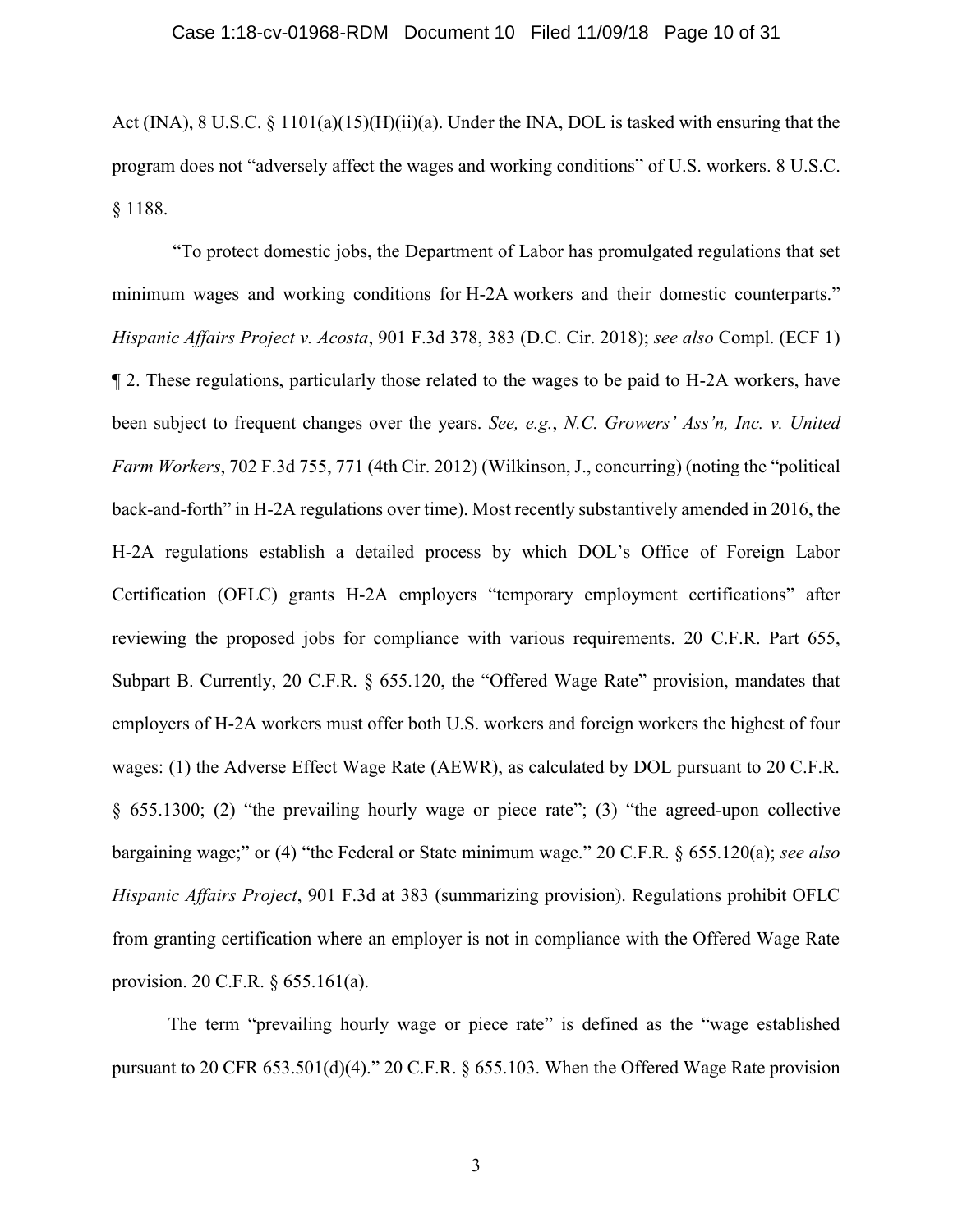Act (INA), 8 U.S.C. § 1101(a)(15)(H)(ii)(a). Under the INA, DOL is tasked with ensuring that the program does not "adversely affect the wages and working conditions" of U.S. workers. 8 U.S.C. § 1188.

"To protect domestic jobs, the Department of Labor has promulgated regulations that set minimum wages and working conditions for H-2A workers and their domestic counterparts." *Hispanic Affairs Project v. Acosta*, 901 F.3d 378, 383 (D.C. Cir. 2018); *see also* Compl. (ECF 1) ¶ 2. These regulations, particularly those related to the wages to be paid to H-2A workers, have been subject to frequent changes over the years. *See, e.g.*, *N.C. Growers' Ass'n, Inc. v. United Farm Workers*, 702 F.3d 755, 771 (4th Cir. 2012) (Wilkinson, J., concurring) (noting the "political back-and-forth" in H-2A regulations over time). Most recently substantively amended in 2016, the H-2A regulations establish a detailed process by which DOL's Office of Foreign Labor Certification (OFLC) grants H-2A employers "temporary employment certifications" after reviewing the proposed jobs for compliance with various requirements. 20 C.F.R. Part 655, Subpart B. Currently, 20 C.F.R. § 655.120, the "Offered Wage Rate" provision, mandates that employers of H-2A workers must offer both U.S. workers and foreign workers the highest of four wages: (1) the Adverse Effect Wage Rate (AEWR), as calculated by DOL pursuant to 20 C.F.R. § 655.1300; (2) "the prevailing hourly wage or piece rate"; (3) "the agreed-upon collective bargaining wage;" or (4) "the Federal or State minimum wage." 20 C.F.R. § 655.120(a); *see also Hispanic Affairs Project*, 901 F.3d at 383 (summarizing provision). Regulations prohibit OFLC from granting certification where an employer is not in compliance with the Offered Wage Rate provision. 20 C.F.R. § 655.161(a).

The term "prevailing hourly wage or piece rate" is defined as the "wage established pursuant to 20 CFR 653.501(d)(4)." 20 C.F.R. § 655.103. When the Offered Wage Rate provision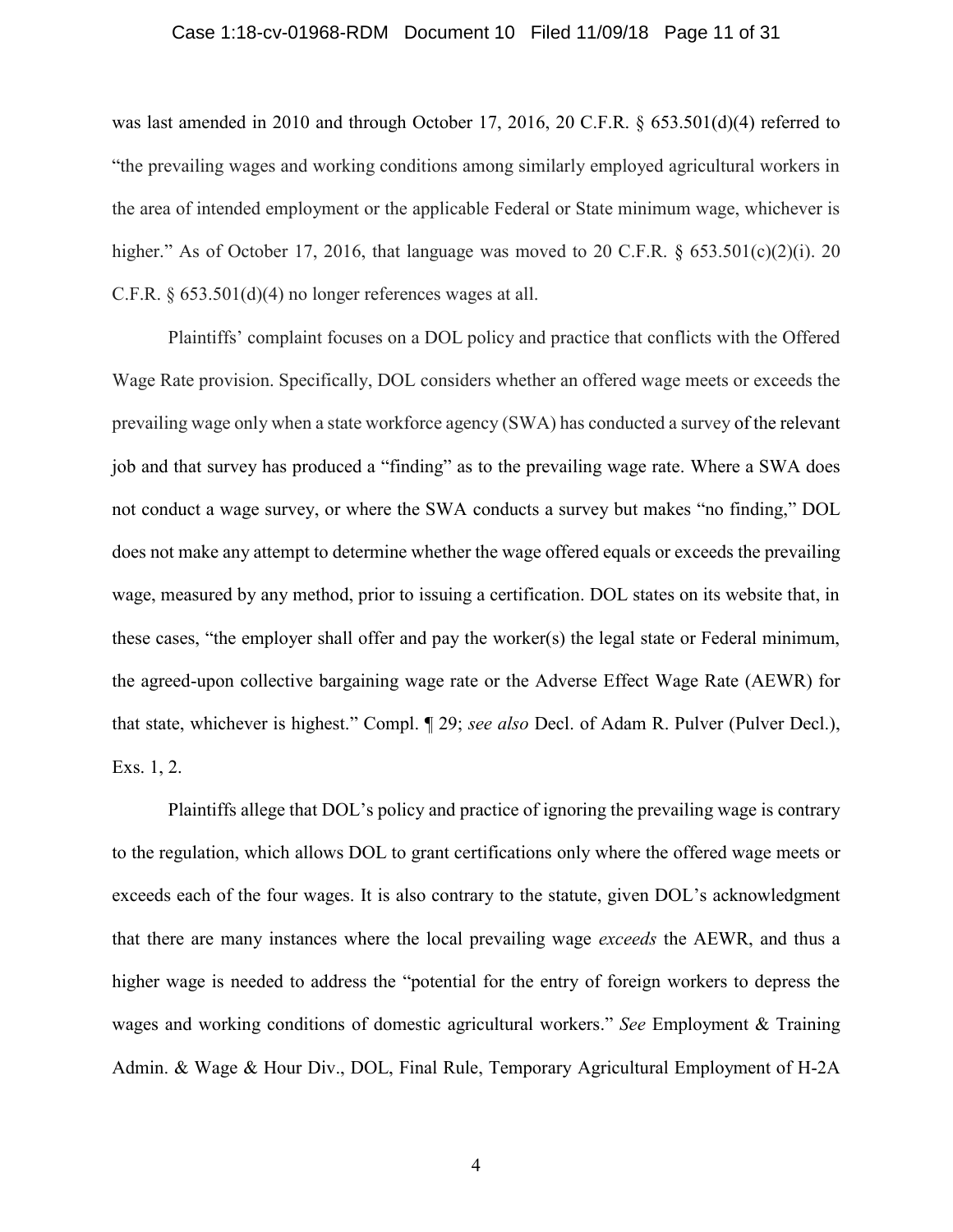### Case 1:18-cv-01968-RDM Document 10 Filed 11/09/18 Page 11 of 31

was last amended in 2010 and through October 17, 2016, 20 C.F.R. § 653.501(d)(4) referred to "the prevailing wages and working conditions among similarly employed agricultural workers in the area of intended employment or the applicable Federal or State minimum wage, whichever is higher." As of October 17, 2016, that language was moved to 20 C.F.R.  $\S$  653.501(c)(2)(i). 20 C.F.R. § 653.501(d)(4) no longer references wages at all.

Plaintiffs' complaint focuses on a DOL policy and practice that conflicts with the Offered Wage Rate provision. Specifically, DOL considers whether an offered wage meets or exceeds the prevailing wage only when a state workforce agency (SWA) has conducted a survey of the relevant job and that survey has produced a "finding" as to the prevailing wage rate. Where a SWA does not conduct a wage survey, or where the SWA conducts a survey but makes "no finding," DOL does not make any attempt to determine whether the wage offered equals or exceeds the prevailing wage, measured by any method, prior to issuing a certification. DOL states on its website that, in these cases, "the employer shall offer and pay the worker(s) the legal state or Federal minimum, the agreed-upon collective bargaining wage rate or the Adverse Effect Wage Rate (AEWR) for that state, whichever is highest." Compl. ¶ 29; *see also* Decl. of Adam R. Pulver (Pulver Decl.), Exs. 1, 2.

Plaintiffs allege that DOL's policy and practice of ignoring the prevailing wage is contrary to the regulation, which allows DOL to grant certifications only where the offered wage meets or exceeds each of the four wages. It is also contrary to the statute, given DOL's acknowledgment that there are many instances where the local prevailing wage *exceeds* the AEWR, and thus a higher wage is needed to address the "potential for the entry of foreign workers to depress the wages and working conditions of domestic agricultural workers." *See* Employment & Training Admin. & Wage & Hour Div., DOL, Final Rule, Temporary Agricultural Employment of H-2A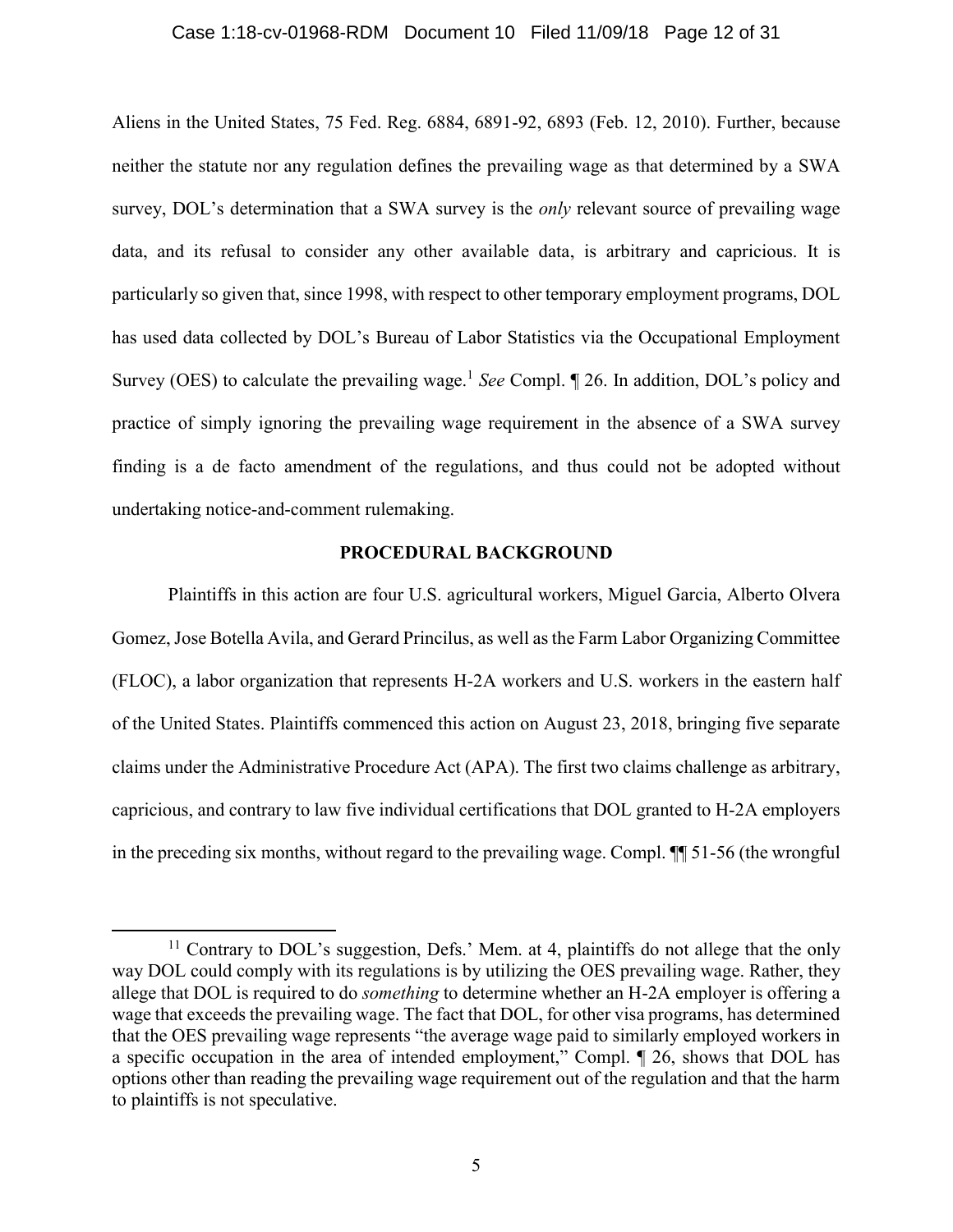### Case 1:18-cv-01968-RDM Document 10 Filed 11/09/18 Page 12 of 31

Aliens in the United States, 75 Fed. Reg. 6884, 6891-92, 6893 (Feb. 12, 2010). Further, because neither the statute nor any regulation defines the prevailing wage as that determined by a SWA survey, DOL's determination that a SWA survey is the *only* relevant source of prevailing wage data, and its refusal to consider any other available data, is arbitrary and capricious. It is particularly so given that, since 1998, with respect to other temporary employment programs, DOL has used data collected by DOL's Bureau of Labor Statistics via the Occupational Employment Survey (OES) to calculate the prevailing wage.<sup>1</sup> See Compl. [26. In addition, DOL's policy and practice of simply ignoring the prevailing wage requirement in the absence of a SWA survey finding is a de facto amendment of the regulations, and thus could not be adopted without undertaking notice-and-comment rulemaking.

# **PROCEDURAL BACKGROUND**

Plaintiffs in this action are four U.S. agricultural workers, Miguel Garcia, Alberto Olvera Gomez, Jose Botella Avila, and Gerard Princilus, as well as the Farm Labor Organizing Committee (FLOC), a labor organization that represents H-2A workers and U.S. workers in the eastern half of the United States. Plaintiffs commenced this action on August 23, 2018, bringing five separate claims under the Administrative Procedure Act (APA). The first two claims challenge as arbitrary, capricious, and contrary to law five individual certifications that DOL granted to H-2A employers in the preceding six months, without regard to the prevailing wage. Compl. ¶¶ 51-56 (the wrongful

 $\overline{\phantom{a}}$ 

<sup>&</sup>lt;sup>11</sup> Contrary to DOL's suggestion, Defs.' Mem. at 4, plaintiffs do not allege that the only way DOL could comply with its regulations is by utilizing the OES prevailing wage. Rather, they allege that DOL is required to do *something* to determine whether an H-2A employer is offering a wage that exceeds the prevailing wage. The fact that DOL, for other visa programs, has determined that the OES prevailing wage represents "the average wage paid to similarly employed workers in a specific occupation in the area of intended employment," Compl. ¶ 26, shows that DOL has options other than reading the prevailing wage requirement out of the regulation and that the harm to plaintiffs is not speculative.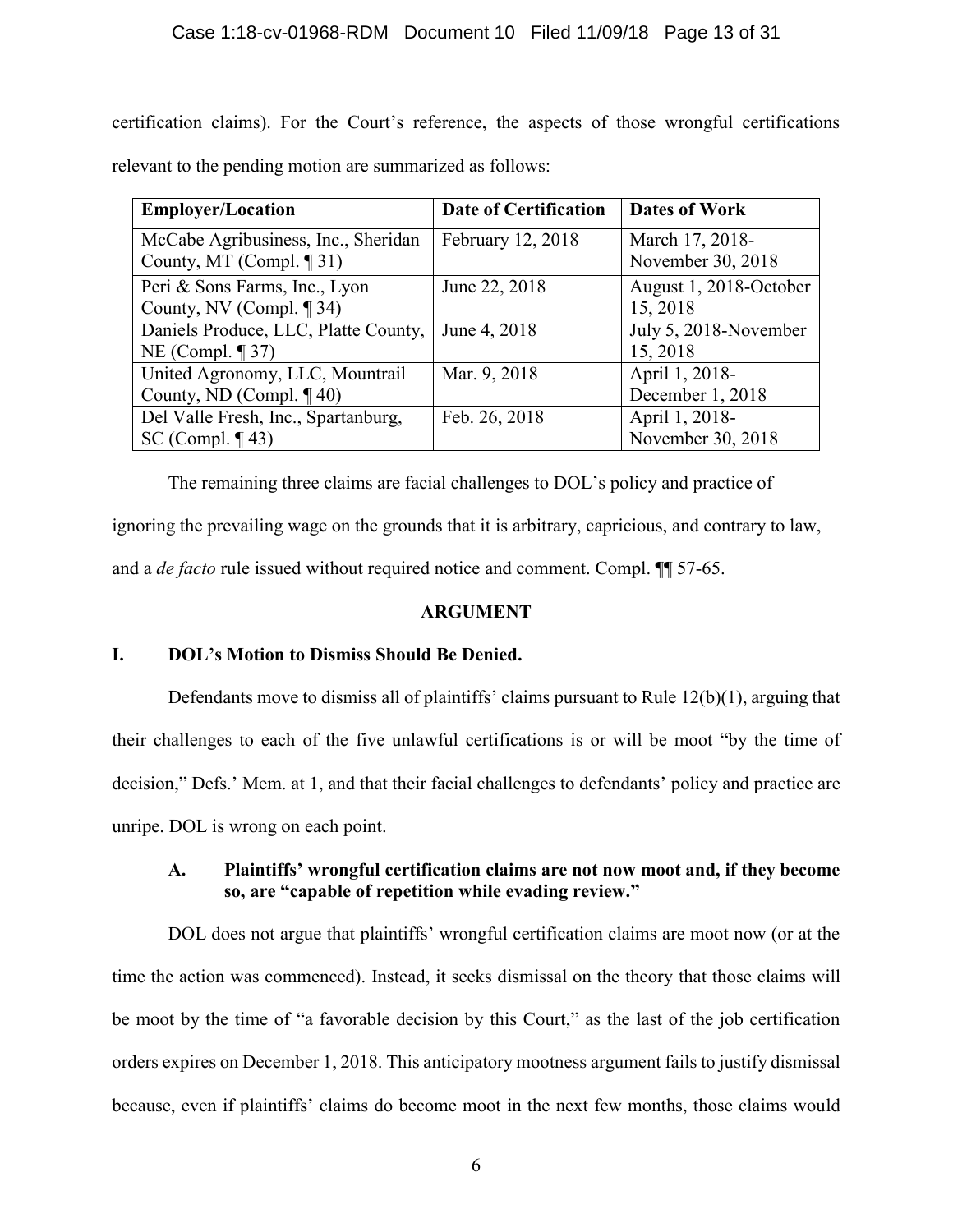certification claims). For the Court's reference, the aspects of those wrongful certifications relevant to the pending motion are summarized as follows:

| <b>Employer/Location</b>             | <b>Date of Certification</b> | <b>Dates of Work</b>   |
|--------------------------------------|------------------------------|------------------------|
| McCabe Agribusiness, Inc., Sheridan  | February 12, 2018            | March 17, 2018-        |
| County, MT (Compl. $\P$ 31)          |                              | November 30, 2018      |
| Peri & Sons Farms, Inc., Lyon        | June 22, 2018                | August 1, 2018-October |
| County, NV (Compl. ¶ 34)             |                              | 15, 2018               |
| Daniels Produce, LLC, Platte County, | June 4, 2018                 | July 5, 2018-November  |
| NE (Compl. $\P$ 37)                  |                              | 15, 2018               |
| United Agronomy, LLC, Mountrail      | Mar. 9, 2018                 | April 1, 2018-         |
| County, ND (Compl. $\P$ 40)          |                              | December 1, 2018       |
| Del Valle Fresh, Inc., Spartanburg,  | Feb. 26, 2018                | April 1, 2018-         |
| SC (Compl. $\P$ 43)                  |                              | November 30, 2018      |

The remaining three claims are facial challenges to DOL's policy and practice of ignoring the prevailing wage on the grounds that it is arbitrary, capricious, and contrary to law, and a *de facto* rule issued without required notice and comment. Compl. ¶¶ 57-65.

# **ARGUMENT**

# **I. DOL's Motion to Dismiss Should Be Denied.**

Defendants move to dismiss all of plaintiffs' claims pursuant to Rule 12(b)(1), arguing that their challenges to each of the five unlawful certifications is or will be moot "by the time of decision," Defs.' Mem. at 1, and that their facial challenges to defendants' policy and practice are unripe. DOL is wrong on each point.

# **A. Plaintiffs' wrongful certification claims are not now moot and, if they become so, are "capable of repetition while evading review."**

DOL does not argue that plaintiffs' wrongful certification claims are moot now (or at the time the action was commenced). Instead, it seeks dismissal on the theory that those claims will be moot by the time of "a favorable decision by this Court," as the last of the job certification orders expires on December 1, 2018. This anticipatory mootness argument fails to justify dismissal because, even if plaintiffs' claims do become moot in the next few months, those claims would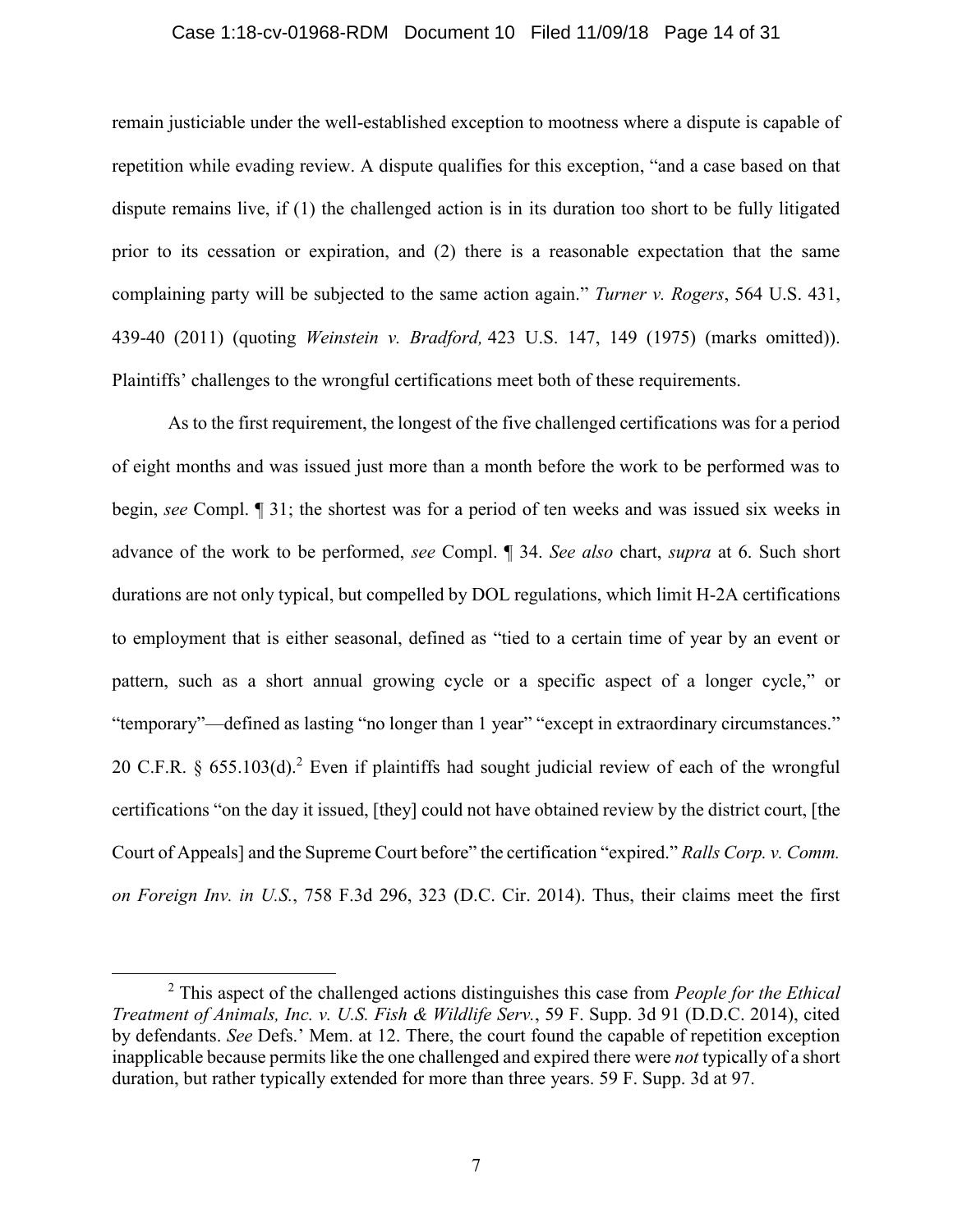# Case 1:18-cv-01968-RDM Document 10 Filed 11/09/18 Page 14 of 31

remain justiciable under the well-established exception to mootness where a dispute is capable of repetition while evading review. A dispute qualifies for this exception, "and a case based on that dispute remains live, if (1) the challenged action is in its duration too short to be fully litigated prior to its cessation or expiration, and (2) there is a reasonable expectation that the same complaining party will be subjected to the same action again." *Turner v. Rogers*, 564 U.S. 431, 439-40 (2011) (quoting *Weinstein v. Bradford,* 423 U.S. 147, 149 (1975) (marks omitted)). Plaintiffs' challenges to the wrongful certifications meet both of these requirements.

As to the first requirement, the longest of the five challenged certifications was for a period of eight months and was issued just more than a month before the work to be performed was to begin, *see* Compl. ¶ 31; the shortest was for a period of ten weeks and was issued six weeks in advance of the work to be performed, *see* Compl. ¶ 34. *See also* chart, *supra* at 6. Such short durations are not only typical, but compelled by DOL regulations, which limit H-2A certifications to employment that is either seasonal, defined as "tied to a certain time of year by an event or pattern, such as a short annual growing cycle or a specific aspect of a longer cycle," or "temporary"—defined as lasting "no longer than 1 year" "except in extraordinary circumstances." 20 C.F.R.  $\frac{1}{2}$  655.103(d).<sup>2</sup> Even if plaintiffs had sought judicial review of each of the wrongful certifications "on the day it issued, [they] could not have obtained review by the district court, [the Court of Appeals] and the Supreme Court before" the certification "expired." *Ralls Corp. v. Comm. on Foreign Inv. in U.S.*, 758 F.3d 296, 323 (D.C. Cir. 2014). Thus, their claims meet the first

 $\overline{\phantom{a}}$ 

<sup>2</sup> This aspect of the challenged actions distinguishes this case from *People for the Ethical Treatment of Animals, Inc. v. U.S. Fish & Wildlife Serv.*, 59 F. Supp. 3d 91 (D.D.C. 2014), cited by defendants. *See* Defs.' Mem. at 12. There, the court found the capable of repetition exception inapplicable because permits like the one challenged and expired there were *not* typically of a short duration, but rather typically extended for more than three years. 59 F. Supp. 3d at 97.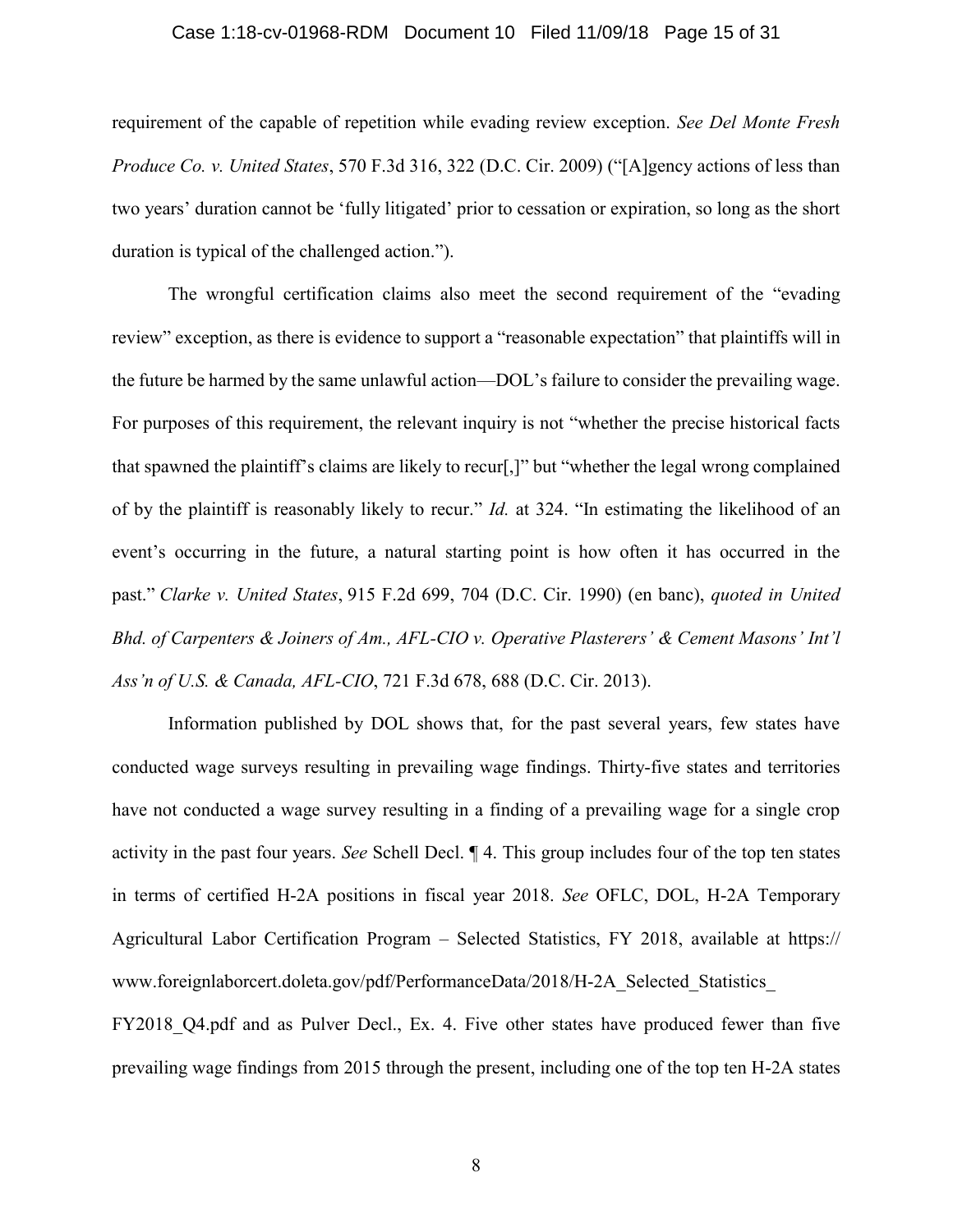### Case 1:18-cv-01968-RDM Document 10 Filed 11/09/18 Page 15 of 31

requirement of the capable of repetition while evading review exception. *See Del Monte Fresh Produce Co. v. United States*, 570 F.3d 316, 322 (D.C. Cir. 2009) ("[A]gency actions of less than two years' duration cannot be 'fully litigated' prior to cessation or expiration, so long as the short duration is typical of the challenged action.").

The wrongful certification claims also meet the second requirement of the "evading review" exception, as there is evidence to support a "reasonable expectation" that plaintiffs will in the future be harmed by the same unlawful action—DOL's failure to consider the prevailing wage. For purposes of this requirement, the relevant inquiry is not "whether the precise historical facts that spawned the plaintiff's claims are likely to recur[,]" but "whether the legal wrong complained of by the plaintiff is reasonably likely to recur." *Id.* at 324. "In estimating the likelihood of an event's occurring in the future, a natural starting point is how often it has occurred in the past." *Clarke v. United States*, 915 F.2d 699, 704 (D.C. Cir. 1990) (en banc), *quoted in United Bhd. of Carpenters & Joiners of Am., AFL-CIO v. Operative Plasterers' & Cement Masons' Int'l Ass'n of U.S. & Canada, AFL-CIO*, 721 F.3d 678, 688 (D.C. Cir. 2013).

Information published by DOL shows that, for the past several years, few states have conducted wage surveys resulting in prevailing wage findings. Thirty-five states and territories have not conducted a wage survey resulting in a finding of a prevailing wage for a single crop activity in the past four years. *See* Schell Decl. ¶ 4. This group includes four of the top ten states in terms of certified H-2A positions in fiscal year 2018. *See* OFLC, DOL, H-2A Temporary Agricultural Labor Certification Program – Selected Statistics, FY 2018, available at https:// www.foreignlaborcert.doleta.gov/pdf/PerformanceData/2018/H-2A\_Selected\_Statistics\_ FY2018 Q4.pdf and as Pulver Decl., Ex. 4. Five other states have produced fewer than five prevailing wage findings from 2015 through the present, including one of the top ten H-2A states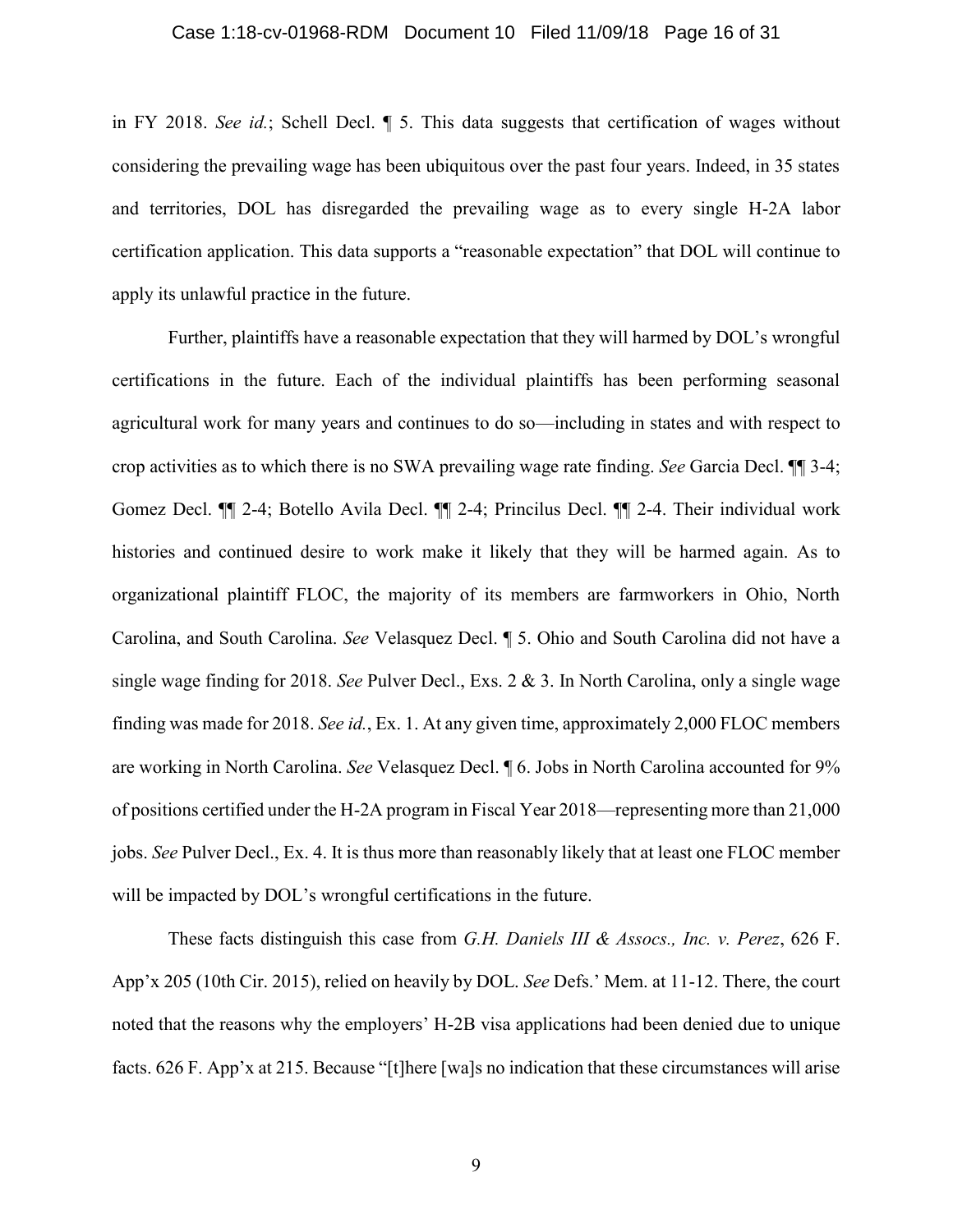### Case 1:18-cv-01968-RDM Document 10 Filed 11/09/18 Page 16 of 31

in FY 2018. *See id.*; Schell Decl. ¶ 5. This data suggests that certification of wages without considering the prevailing wage has been ubiquitous over the past four years. Indeed, in 35 states and territories, DOL has disregarded the prevailing wage as to every single H-2A labor certification application. This data supports a "reasonable expectation" that DOL will continue to apply its unlawful practice in the future.

Further, plaintiffs have a reasonable expectation that they will harmed by DOL's wrongful certifications in the future. Each of the individual plaintiffs has been performing seasonal agricultural work for many years and continues to do so—including in states and with respect to crop activities as to which there is no SWA prevailing wage rate finding. *See* Garcia Decl. ¶¶ 3-4; Gomez Decl. ¶¶ 2-4; Botello Avila Decl. ¶¶ 2-4; Princilus Decl. ¶¶ 2-4. Their individual work histories and continued desire to work make it likely that they will be harmed again. As to organizational plaintiff FLOC, the majority of its members are farmworkers in Ohio, North Carolina, and South Carolina. *See* Velasquez Decl. ¶ 5. Ohio and South Carolina did not have a single wage finding for 2018. *See* Pulver Decl., Exs. 2 & 3. In North Carolina, only a single wage finding was made for 2018. *See id.*, Ex. 1. At any given time, approximately 2,000 FLOC members are working in North Carolina. *See* Velasquez Decl. ¶ 6. Jobs in North Carolina accounted for 9% of positions certified under the H-2A program in Fiscal Year 2018—representing more than 21,000 jobs. *See* Pulver Decl., Ex. 4. It is thus more than reasonably likely that at least one FLOC member will be impacted by DOL's wrongful certifications in the future.

These facts distinguish this case from *G.H. Daniels III & Assocs., Inc. v. Perez*, 626 F. App'x 205 (10th Cir. 2015), relied on heavily by DOL. *See* Defs.' Mem. at 11-12. There, the court noted that the reasons why the employers' H-2B visa applications had been denied due to unique facts. 626 F. App'x at 215. Because "[t]here [wa]s no indication that these circumstances will arise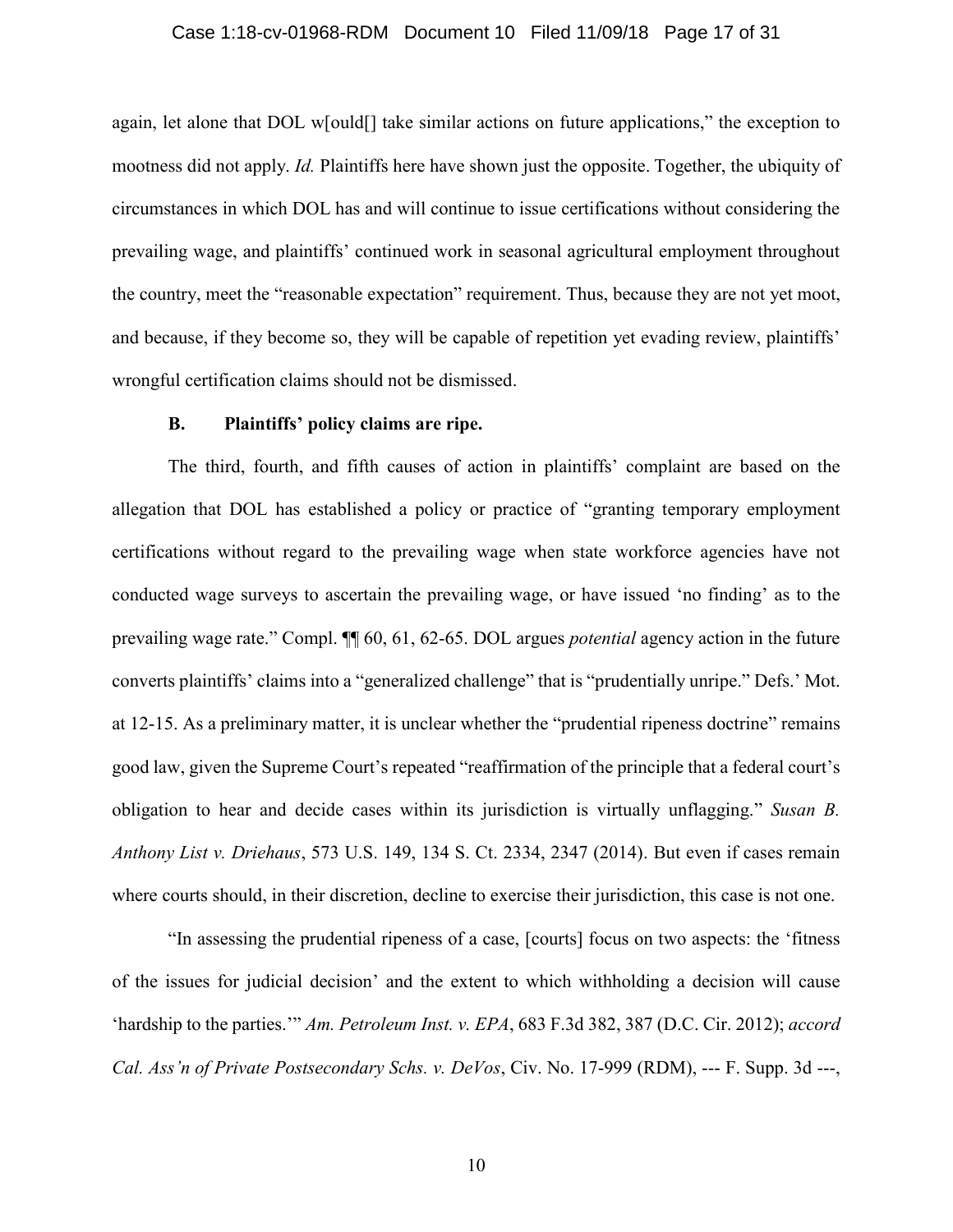## Case 1:18-cv-01968-RDM Document 10 Filed 11/09/18 Page 17 of 31

again, let alone that DOL w[ould[] take similar actions on future applications," the exception to mootness did not apply. *Id.* Plaintiffs here have shown just the opposite. Together, the ubiquity of circumstances in which DOL has and will continue to issue certifications without considering the prevailing wage, and plaintiffs' continued work in seasonal agricultural employment throughout the country, meet the "reasonable expectation" requirement. Thus, because they are not yet moot, and because, if they become so, they will be capable of repetition yet evading review, plaintiffs' wrongful certification claims should not be dismissed.

# **B. Plaintiffs' policy claims are ripe.**

The third, fourth, and fifth causes of action in plaintiffs' complaint are based on the allegation that DOL has established a policy or practice of "granting temporary employment certifications without regard to the prevailing wage when state workforce agencies have not conducted wage surveys to ascertain the prevailing wage, or have issued 'no finding' as to the prevailing wage rate." Compl. ¶¶ 60, 61, 62-65. DOL argues *potential* agency action in the future converts plaintiffs' claims into a "generalized challenge" that is "prudentially unripe." Defs.' Mot. at 12-15. As a preliminary matter, it is unclear whether the "prudential ripeness doctrine" remains good law, given the Supreme Court's repeated "reaffirmation of the principle that a federal court's obligation to hear and decide cases within its jurisdiction is virtually unflagging." *Susan B. Anthony List v. Driehaus*, 573 U.S. 149, 134 S. Ct. 2334, 2347 (2014). But even if cases remain where courts should, in their discretion, decline to exercise their jurisdiction, this case is not one.

"In assessing the prudential ripeness of a case, [courts] focus on two aspects: the 'fitness of the issues for judicial decision' and the extent to which withholding a decision will cause 'hardship to the parties.'" *Am. Petroleum Inst. v. EPA*, 683 F.3d 382, 387 (D.C. Cir. 2012); *accord Cal. Ass'n of Private Postsecondary Schs. v. DeVos*, Civ. No. 17-999 (RDM), --- F. Supp. 3d ---,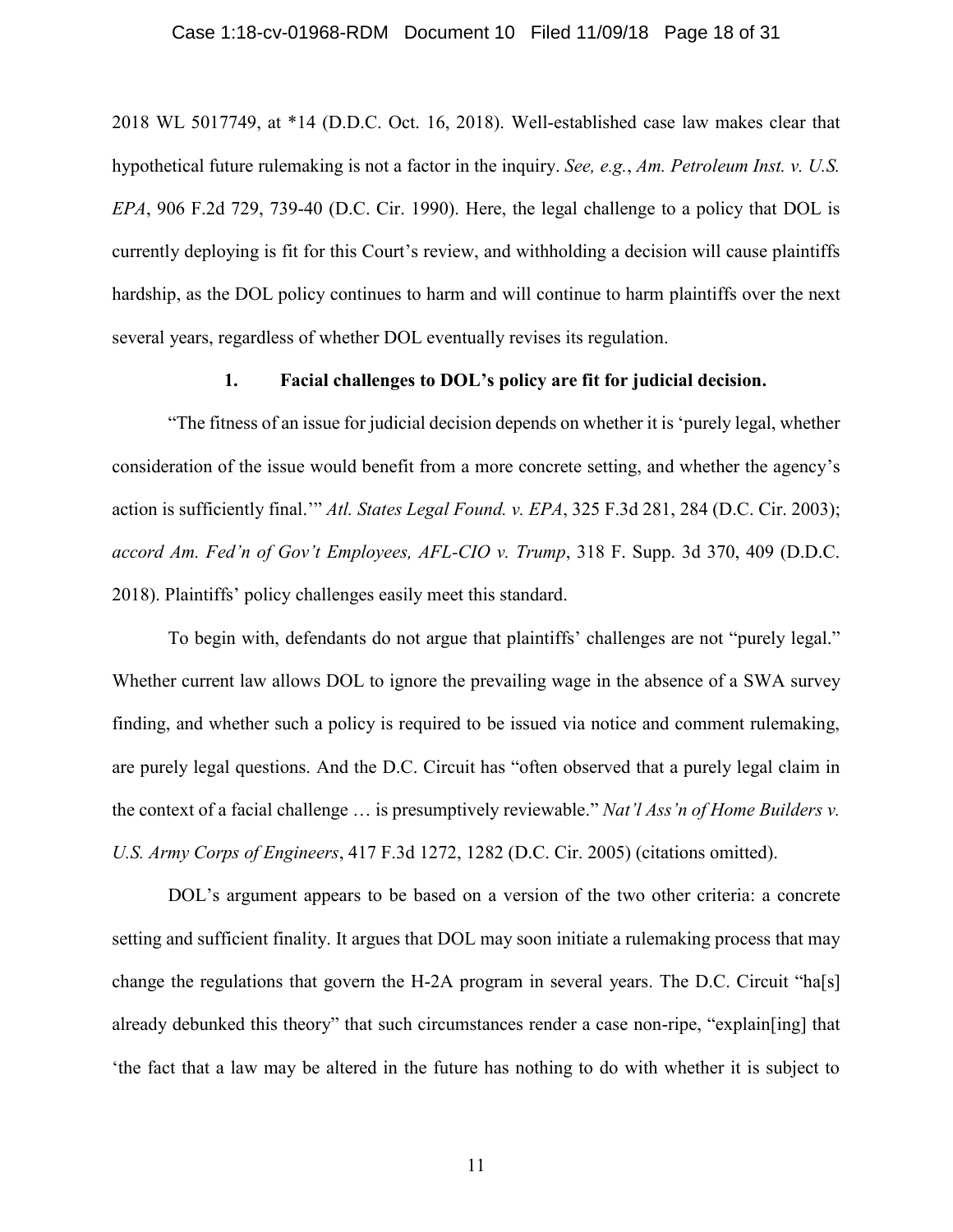### Case 1:18-cv-01968-RDM Document 10 Filed 11/09/18 Page 18 of 31

2018 WL 5017749, at \*14 (D.D.C. Oct. 16, 2018). Well-established case law makes clear that hypothetical future rulemaking is not a factor in the inquiry. *See, e.g.*, *Am. Petroleum Inst. v. U.S. EPA*, 906 F.2d 729, 739-40 (D.C. Cir. 1990). Here, the legal challenge to a policy that DOL is currently deploying is fit for this Court's review, and withholding a decision will cause plaintiffs hardship, as the DOL policy continues to harm and will continue to harm plaintiffs over the next several years, regardless of whether DOL eventually revises its regulation.

# **1. Facial challenges to DOL's policy are fit for judicial decision.**

"The fitness of an issue for judicial decision depends on whether it is 'purely legal, whether consideration of the issue would benefit from a more concrete setting, and whether the agency's action is sufficiently final.'" *Atl. States Legal Found. v. EPA*, 325 F.3d 281, 284 (D.C. Cir. 2003); *accord Am. Fed'n of Gov't Employees, AFL-CIO v. Trump*, 318 F. Supp. 3d 370, 409 (D.D.C. 2018). Plaintiffs' policy challenges easily meet this standard.

To begin with, defendants do not argue that plaintiffs' challenges are not "purely legal." Whether current law allows DOL to ignore the prevailing wage in the absence of a SWA survey finding, and whether such a policy is required to be issued via notice and comment rulemaking, are purely legal questions. And the D.C. Circuit has "often observed that a purely legal claim in the context of a facial challenge … is presumptively reviewable." *Nat'l Ass'n of Home Builders v. U.S. Army Corps of Engineers*, 417 F.3d 1272, 1282 (D.C. Cir. 2005) (citations omitted).

DOL's argument appears to be based on a version of the two other criteria: a concrete setting and sufficient finality. It argues that DOL may soon initiate a rulemaking process that may change the regulations that govern the H-2A program in several years. The D.C. Circuit "ha[s] already debunked this theory" that such circumstances render a case non-ripe, "explain[ing] that 'the fact that a law may be altered in the future has nothing to do with whether it is subject to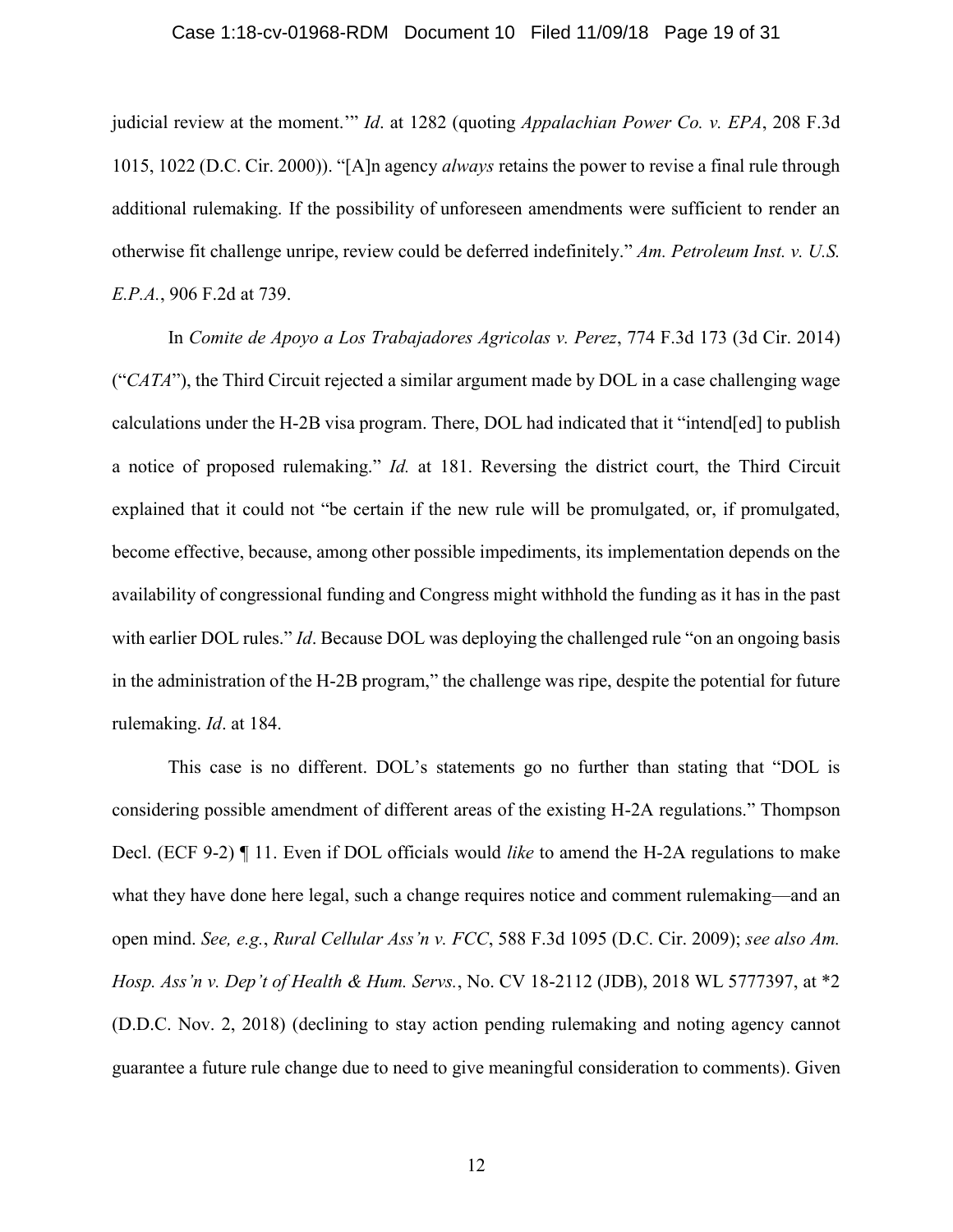### Case 1:18-cv-01968-RDM Document 10 Filed 11/09/18 Page 19 of 31

judicial review at the moment.'" *Id*. at 1282 (quoting *Appalachian Power Co. v. EPA*, 208 F.3d 1015, 1022 (D.C. Cir. 2000)). "[A]n agency *always* retains the power to revise a final rule through additional rulemaking. If the possibility of unforeseen amendments were sufficient to render an otherwise fit challenge unripe, review could be deferred indefinitely." *Am. Petroleum Inst. v. U.S. E.P.A.*, 906 F.2d at 739.

In *Comite de Apoyo a Los Trabajadores Agricolas v. Perez*, 774 F.3d 173 (3d Cir. 2014) ("*CATA*"), the Third Circuit rejected a similar argument made by DOL in a case challenging wage calculations under the H-2B visa program. There, DOL had indicated that it "intend[ed] to publish a notice of proposed rulemaking." *Id.* at 181. Reversing the district court, the Third Circuit explained that it could not "be certain if the new rule will be promulgated, or, if promulgated, become effective, because, among other possible impediments, its implementation depends on the availability of congressional funding and Congress might withhold the funding as it has in the past with earlier DOL rules." *Id*. Because DOL was deploying the challenged rule "on an ongoing basis" in the administration of the H-2B program," the challenge was ripe, despite the potential for future rulemaking. *Id*. at 184.

This case is no different. DOL's statements go no further than stating that "DOL is considering possible amendment of different areas of the existing H-2A regulations." Thompson Decl. (ECF 9-2) ¶ 11. Even if DOL officials would *like* to amend the H-2A regulations to make what they have done here legal, such a change requires notice and comment rulemaking—and an open mind. *See, e.g.*, *Rural Cellular Ass'n v. FCC*, 588 F.3d 1095 (D.C. Cir. 2009); *see also Am. Hosp. Ass'n v. Dep't of Health & Hum. Servs.*, No. CV 18-2112 (JDB), 2018 WL 5777397, at \*2 (D.D.C. Nov. 2, 2018) (declining to stay action pending rulemaking and noting agency cannot guarantee a future rule change due to need to give meaningful consideration to comments). Given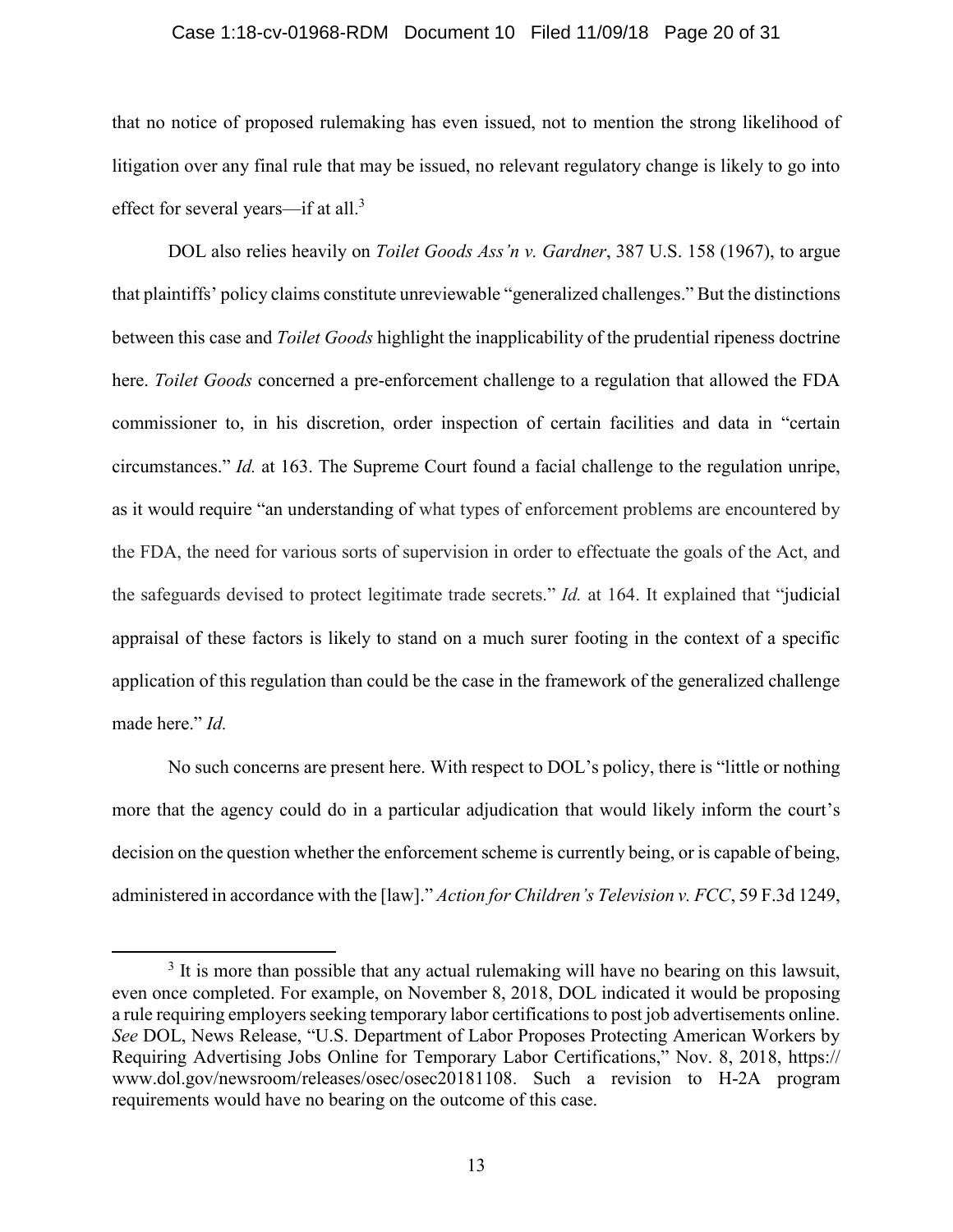#### Case 1:18-cv-01968-RDM Document 10 Filed 11/09/18 Page 20 of 31

that no notice of proposed rulemaking has even issued, not to mention the strong likelihood of litigation over any final rule that may be issued, no relevant regulatory change is likely to go into effect for several years—if at all.<sup>3</sup>

DOL also relies heavily on *Toilet Goods Ass'n v. Gardner*, 387 U.S. 158 (1967), to argue that plaintiffs' policy claims constitute unreviewable "generalized challenges." But the distinctions between this case and *Toilet Goods* highlight the inapplicability of the prudential ripeness doctrine here. *Toilet Goods* concerned a pre-enforcement challenge to a regulation that allowed the FDA commissioner to, in his discretion, order inspection of certain facilities and data in "certain circumstances." *Id.* at 163. The Supreme Court found a facial challenge to the regulation unripe, as it would require "an understanding of what types of enforcement problems are encountered by the FDA, the need for various sorts of supervision in order to effectuate the goals of the Act, and the safeguards devised to protect legitimate trade secrets." *Id.* at 164. It explained that "judicial appraisal of these factors is likely to stand on a much surer footing in the context of a specific application of this regulation than could be the case in the framework of the generalized challenge made here." *Id.*

No such concerns are present here. With respect to DOL's policy, there is "little or nothing more that the agency could do in a particular adjudication that would likely inform the court's decision on the question whether the enforcement scheme is currently being, or is capable of being, administered in accordance with the [law]." *Action for Children's Television v. FCC*, 59 F.3d 1249,

 $\overline{\phantom{a}}$ 

<sup>&</sup>lt;sup>3</sup> It is more than possible that any actual rulemaking will have no bearing on this lawsuit, even once completed. For example, on November 8, 2018, DOL indicated it would be proposing a rule requiring employers seeking temporary labor certifications to post job advertisements online. *See* DOL, News Release, "U.S. Department of Labor Proposes Protecting American Workers by Requiring Advertising Jobs Online for Temporary Labor Certifications," Nov. 8, 2018, https:// www.dol.gov/newsroom/releases/osec/osec20181108. Such a revision to H-2A program requirements would have no bearing on the outcome of this case.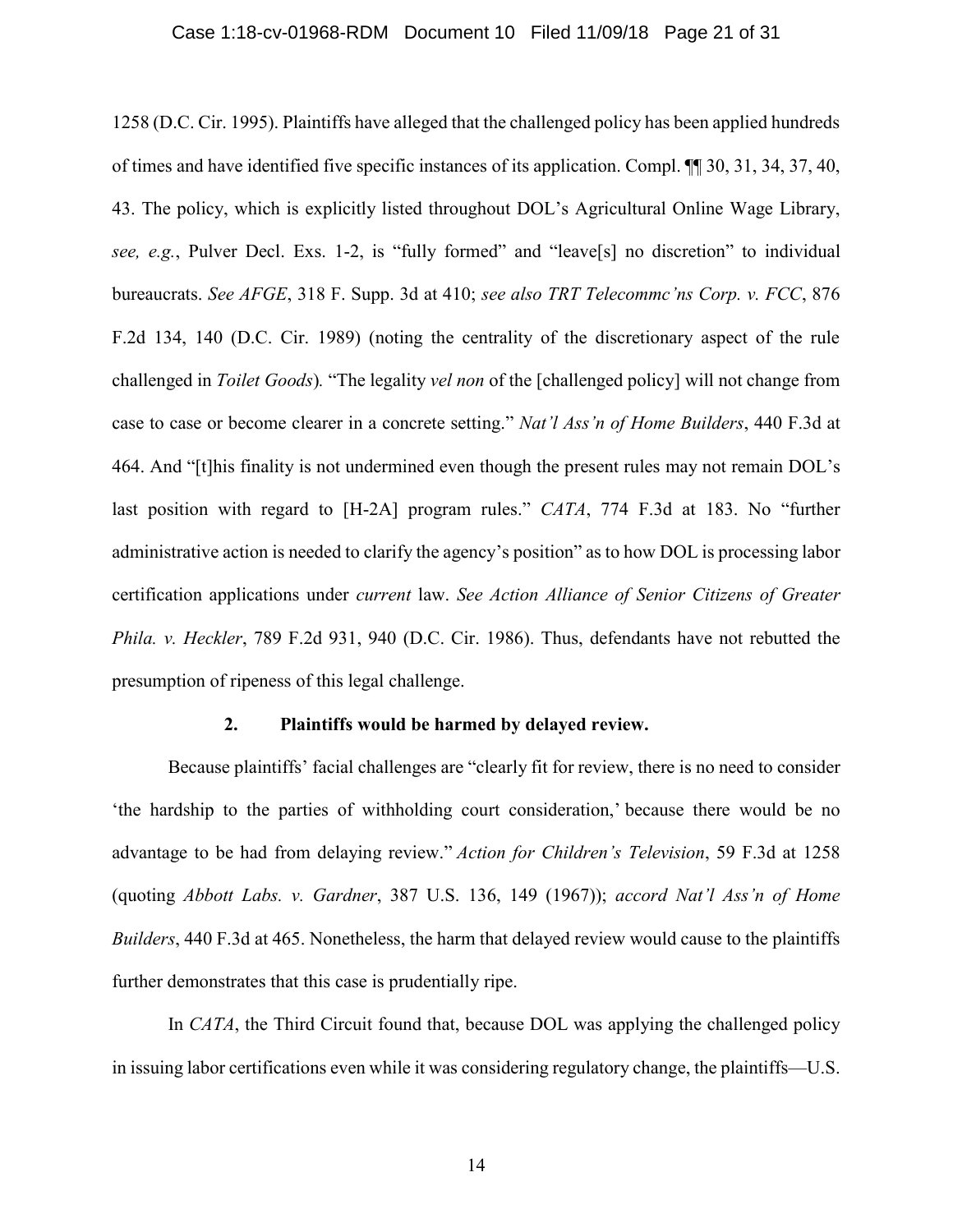### Case 1:18-cv-01968-RDM Document 10 Filed 11/09/18 Page 21 of 31

1258 (D.C. Cir. 1995). Plaintiffs have alleged that the challenged policy has been applied hundreds of times and have identified five specific instances of its application. Compl. ¶¶ 30, 31, 34, 37, 40, 43. The policy, which is explicitly listed throughout DOL's Agricultural Online Wage Library, *see, e.g.*, Pulver Decl. Exs. 1-2, is "fully formed" and "leave[s] no discretion" to individual bureaucrats. *See AFGE*, 318 F. Supp. 3d at 410; *see also TRT Telecommc'ns Corp. v. FCC*, 876 F.2d 134, 140 (D.C. Cir. 1989) (noting the centrality of the discretionary aspect of the rule challenged in *Toilet Goods*)*.* "The legality *vel non* of the [challenged policy] will not change from case to case or become clearer in a concrete setting." *Nat'l Ass'n of Home Builders*, 440 F.3d at 464. And "[t]his finality is not undermined even though the present rules may not remain DOL's last position with regard to [H-2A] program rules." *CATA*, 774 F.3d at 183. No "further administrative action is needed to clarify the agency's position" as to how DOL is processing labor certification applications under *current* law. *See Action Alliance of Senior Citizens of Greater Phila. v. Heckler*, 789 F.2d 931, 940 (D.C. Cir. 1986). Thus, defendants have not rebutted the presumption of ripeness of this legal challenge.

### **2. Plaintiffs would be harmed by delayed review.**

Because plaintiffs' facial challenges are "clearly fit for review, there is no need to consider 'the hardship to the parties of withholding court consideration,' because there would be no advantage to be had from delaying review." *Action for Children's Television*, 59 F.3d at 1258 (quoting *Abbott Labs. v. Gardner*, 387 U.S. 136, 149 (1967)); *accord Nat'l Ass'n of Home Builders*, 440 F.3d at 465. Nonetheless, the harm that delayed review would cause to the plaintiffs further demonstrates that this case is prudentially ripe.

In *CATA*, the Third Circuit found that, because DOL was applying the challenged policy in issuing labor certifications even while it was considering regulatory change, the plaintiffs—U.S.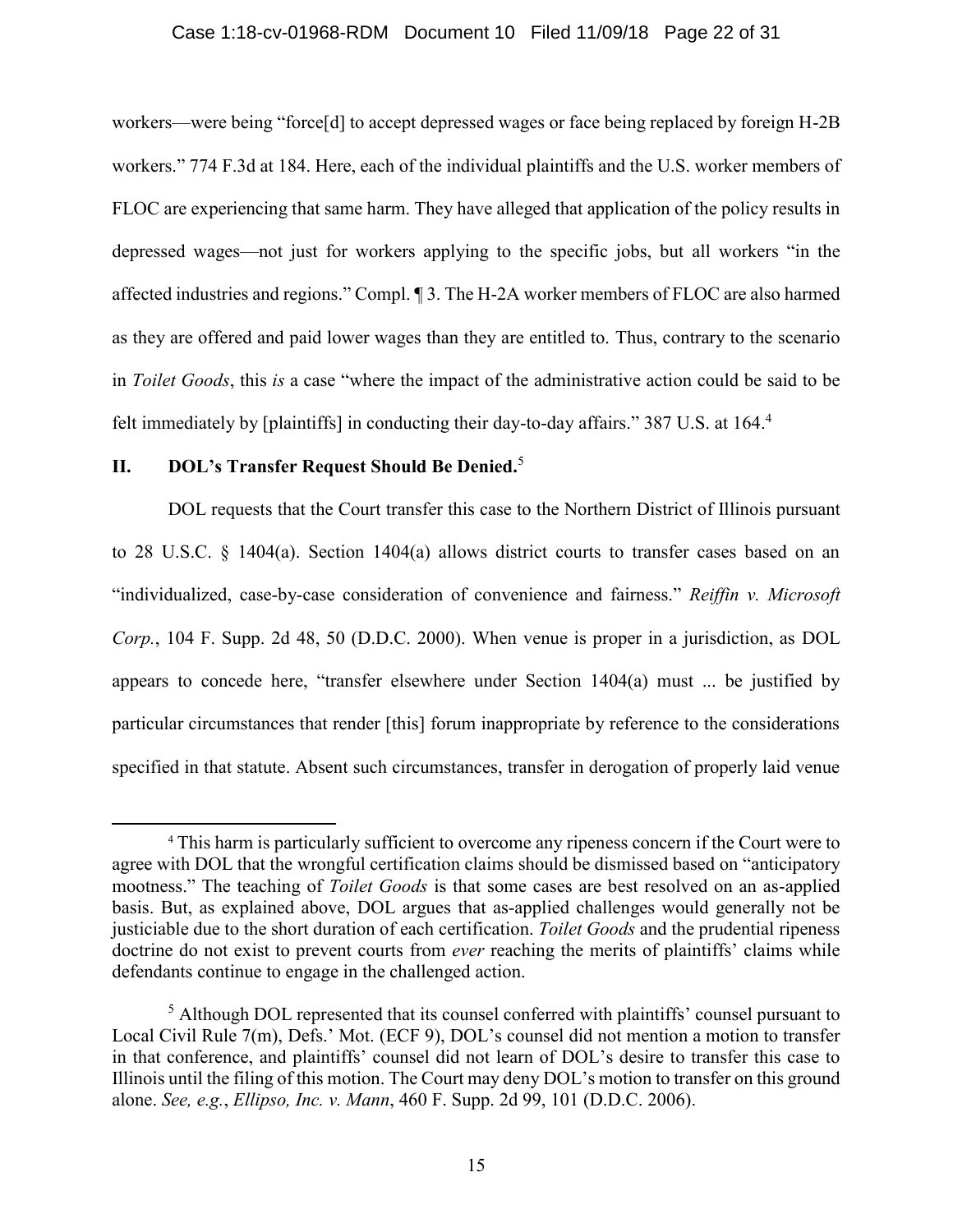## Case 1:18-cv-01968-RDM Document 10 Filed 11/09/18 Page 22 of 31

workers—were being "force[d] to accept depressed wages or face being replaced by foreign H-2B workers." 774 F.3d at 184. Here, each of the individual plaintiffs and the U.S. worker members of FLOC are experiencing that same harm. They have alleged that application of the policy results in depressed wages—not just for workers applying to the specific jobs, but all workers "in the affected industries and regions." Compl. ¶ 3. The H-2A worker members of FLOC are also harmed as they are offered and paid lower wages than they are entitled to. Thus, contrary to the scenario in *Toilet Goods*, this *is* a case "where the impact of the administrative action could be said to be felt immediately by [plaintiffs] in conducting their day-to-day affairs." 387 U.S. at 164.4

# **II. DOL's Transfer Request Should Be Denied.**<sup>5</sup>

 $\overline{\phantom{a}}$ 

DOL requests that the Court transfer this case to the Northern District of Illinois pursuant to 28 U.S.C. § 1404(a). Section 1404(a) allows district courts to transfer cases based on an "individualized, case-by-case consideration of convenience and fairness." *Reiffin v. Microsoft Corp.*, 104 F. Supp. 2d 48, 50 (D.D.C. 2000). When venue is proper in a jurisdiction, as DOL appears to concede here, "transfer elsewhere under Section 1404(a) must ... be justified by particular circumstances that render [this] forum inappropriate by reference to the considerations specified in that statute. Absent such circumstances, transfer in derogation of properly laid venue

<sup>4</sup> This harm is particularly sufficient to overcome any ripeness concern if the Court were to agree with DOL that the wrongful certification claims should be dismissed based on "anticipatory mootness." The teaching of *Toilet Goods* is that some cases are best resolved on an as-applied basis. But, as explained above, DOL argues that as-applied challenges would generally not be justiciable due to the short duration of each certification. *Toilet Goods* and the prudential ripeness doctrine do not exist to prevent courts from *ever* reaching the merits of plaintiffs' claims while defendants continue to engage in the challenged action.

<sup>&</sup>lt;sup>5</sup> Although DOL represented that its counsel conferred with plaintiffs' counsel pursuant to Local Civil Rule 7(m), Defs.' Mot. (ECF 9), DOL's counsel did not mention a motion to transfer in that conference, and plaintiffs' counsel did not learn of DOL's desire to transfer this case to Illinois until the filing of this motion. The Court may deny DOL's motion to transfer on this ground alone. *See, e.g.*, *Ellipso, Inc. v. Mann*, 460 F. Supp. 2d 99, 101 (D.D.C. 2006).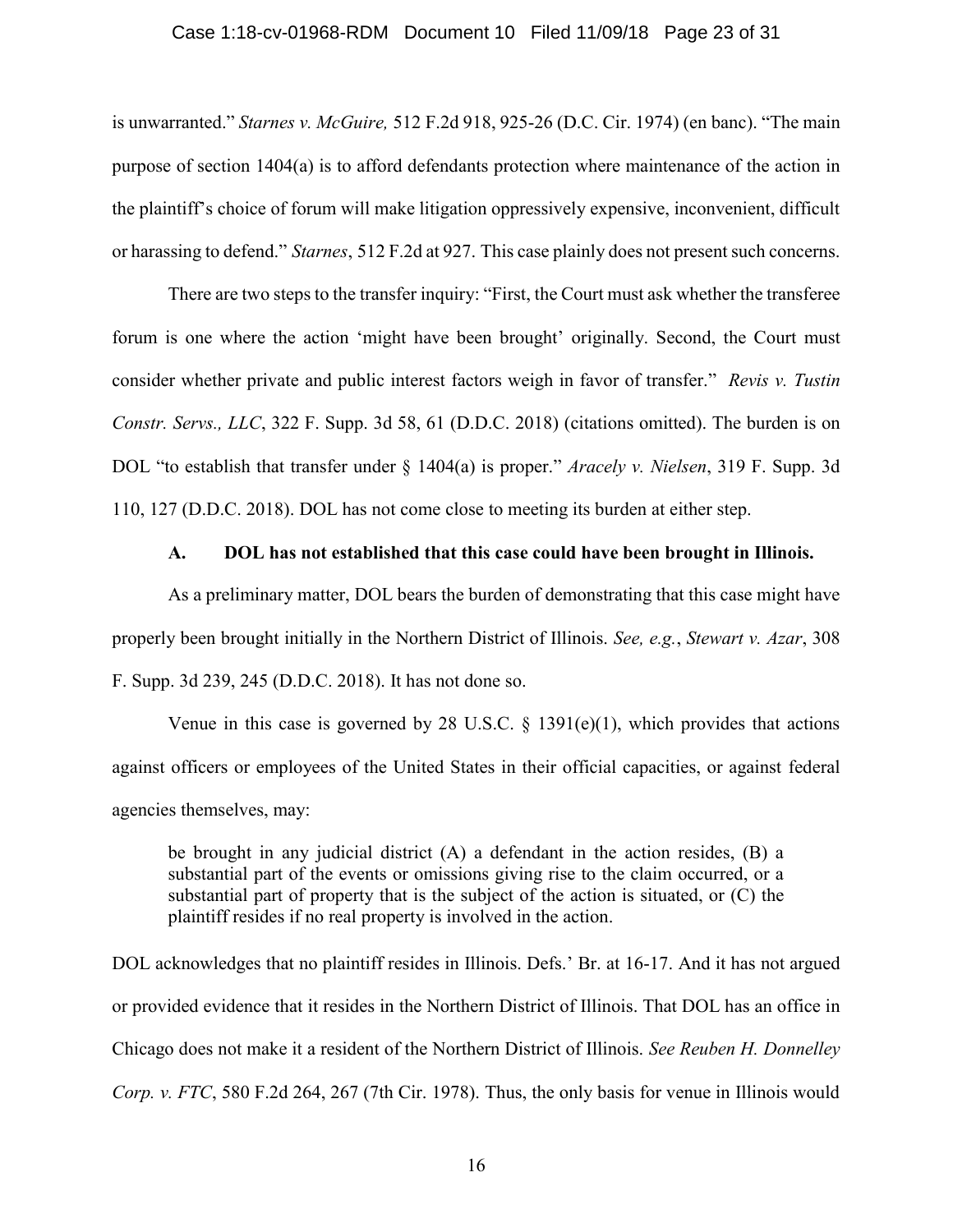### Case 1:18-cv-01968-RDM Document 10 Filed 11/09/18 Page 23 of 31

is unwarranted." *Starnes v. McGuire,* 512 F.2d 918, 925-26 (D.C. Cir. 1974) (en banc). "The main purpose of section 1404(a) is to afford defendants protection where maintenance of the action in the plaintiff's choice of forum will make litigation oppressively expensive, inconvenient, difficult or harassing to defend." *Starnes*, 512 F.2d at 927. This case plainly does not present such concerns.

There are two steps to the transfer inquiry: "First, the Court must ask whether the transferee forum is one where the action 'might have been brought' originally. Second, the Court must consider whether private and public interest factors weigh in favor of transfer." *Revis v. Tustin Constr. Servs., LLC*, 322 F. Supp. 3d 58, 61 (D.D.C. 2018) (citations omitted). The burden is on DOL "to establish that transfer under § 1404(a) is proper." *Aracely v. Nielsen*, 319 F. Supp. 3d 110, 127 (D.D.C. 2018). DOL has not come close to meeting its burden at either step.

# **A. DOL has not established that this case could have been brought in Illinois.**

As a preliminary matter, DOL bears the burden of demonstrating that this case might have properly been brought initially in the Northern District of Illinois. *See, e.g.*, *Stewart v. Azar*, 308 F. Supp. 3d 239, 245 (D.D.C. 2018). It has not done so.

Venue in this case is governed by 28 U.S.C.  $\S$  1391(e)(1), which provides that actions against officers or employees of the United States in their official capacities, or against federal agencies themselves, may:

be brought in any judicial district (A) a defendant in the action resides, (B) a substantial part of the events or omissions giving rise to the claim occurred, or a substantial part of property that is the subject of the action is situated, or (C) the plaintiff resides if no real property is involved in the action.

DOL acknowledges that no plaintiff resides in Illinois. Defs.' Br. at 16-17. And it has not argued or provided evidence that it resides in the Northern District of Illinois. That DOL has an office in Chicago does not make it a resident of the Northern District of Illinois. *See Reuben H. Donnelley Corp. v. FTC*, 580 F.2d 264, 267 (7th Cir. 1978). Thus, the only basis for venue in Illinois would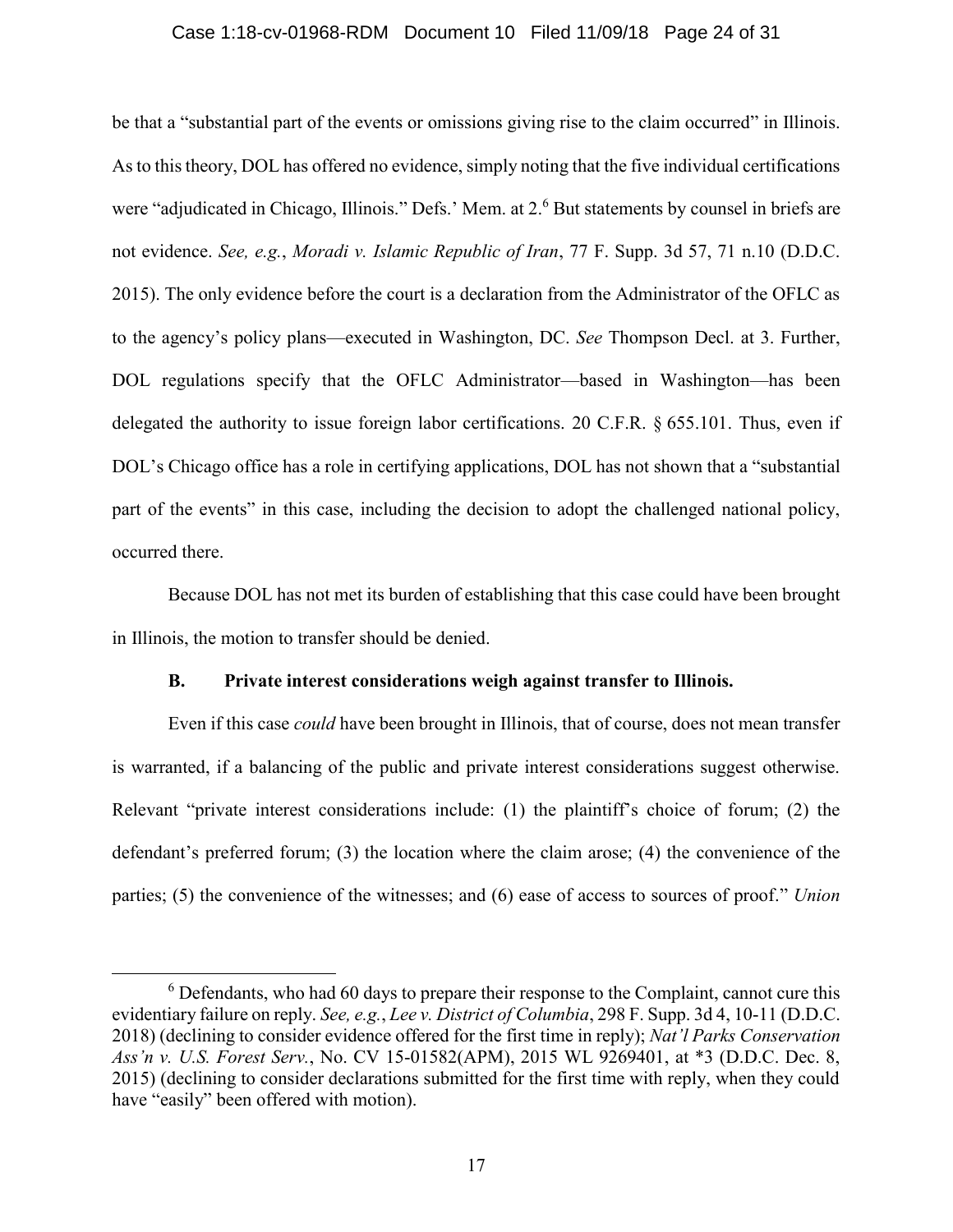## Case 1:18-cv-01968-RDM Document 10 Filed 11/09/18 Page 24 of 31

be that a "substantial part of the events or omissions giving rise to the claim occurred" in Illinois. As to this theory, DOL has offered no evidence, simply noting that the five individual certifications were "adjudicated in Chicago, Illinois." Defs.' Mem. at 2.<sup>6</sup> But statements by counsel in briefs are not evidence. *See, e.g.*, *Moradi v. Islamic Republic of Iran*, 77 F. Supp. 3d 57, 71 n.10 (D.D.C. 2015). The only evidence before the court is a declaration from the Administrator of the OFLC as to the agency's policy plans—executed in Washington, DC. *See* Thompson Decl. at 3. Further, DOL regulations specify that the OFLC Administrator—based in Washington—has been delegated the authority to issue foreign labor certifications. 20 C.F.R. § 655.101. Thus, even if DOL's Chicago office has a role in certifying applications, DOL has not shown that a "substantial" part of the events" in this case, including the decision to adopt the challenged national policy, occurred there.

Because DOL has not met its burden of establishing that this case could have been brought in Illinois, the motion to transfer should be denied.

# **B. Private interest considerations weigh against transfer to Illinois.**

Even if this case *could* have been brought in Illinois, that of course, does not mean transfer is warranted, if a balancing of the public and private interest considerations suggest otherwise. Relevant "private interest considerations include: (1) the plaintiff's choice of forum; (2) the defendant's preferred forum; (3) the location where the claim arose; (4) the convenience of the parties; (5) the convenience of the witnesses; and (6) ease of access to sources of proof." *Union* 

 $\overline{\phantom{a}}$ 

<sup>6</sup> Defendants, who had 60 days to prepare their response to the Complaint, cannot cure this evidentiary failure on reply. *See, e.g.*, *Lee v. District of Columbia*, 298 F. Supp. 3d 4, 10-11 (D.D.C. 2018) (declining to consider evidence offered for the first time in reply); *Nat'l Parks Conservation Ass'n v. U.S. Forest Serv.*, No. CV 15-01582(APM), 2015 WL 9269401, at \*3 (D.D.C. Dec. 8, 2015) (declining to consider declarations submitted for the first time with reply, when they could have "easily" been offered with motion).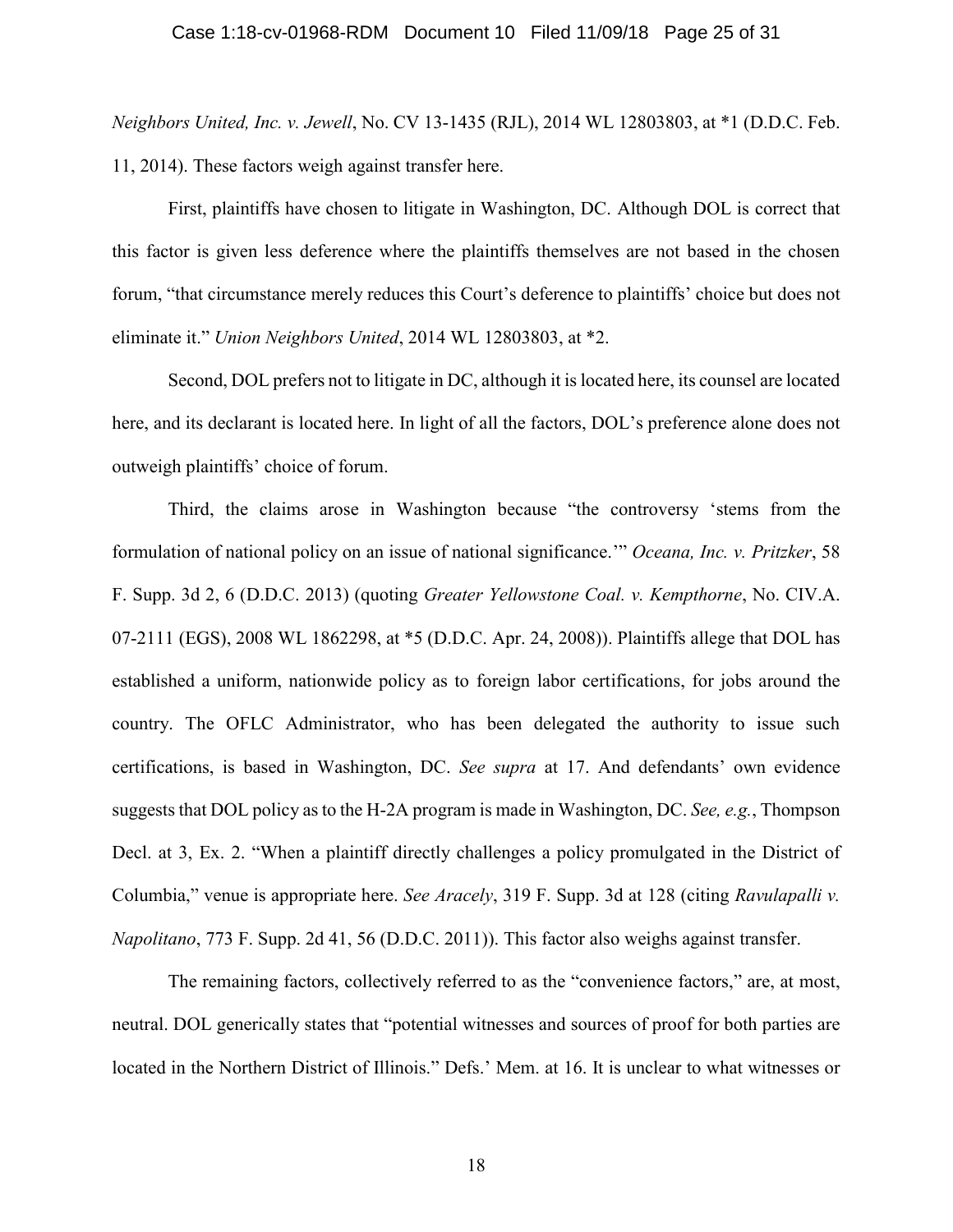*Neighbors United, Inc. v. Jewell*, No. CV 13-1435 (RJL), 2014 WL 12803803, at \*1 (D.D.C. Feb. 11, 2014). These factors weigh against transfer here.

First, plaintiffs have chosen to litigate in Washington, DC. Although DOL is correct that this factor is given less deference where the plaintiffs themselves are not based in the chosen forum, "that circumstance merely reduces this Court's deference to plaintiffs' choice but does not eliminate it." *Union Neighbors United*, 2014 WL 12803803, at \*2.

Second, DOL prefers not to litigate in DC, although it is located here, its counsel are located here, and its declarant is located here. In light of all the factors, DOL's preference alone does not outweigh plaintiffs' choice of forum.

Third, the claims arose in Washington because "the controversy 'stems from the formulation of national policy on an issue of national significance.'" *Oceana, Inc. v. Pritzker*, 58 F. Supp. 3d 2, 6 (D.D.C. 2013) (quoting *Greater Yellowstone Coal. v. Kempthorne*, No. CIV.A. 07-2111 (EGS), 2008 WL 1862298, at \*5 (D.D.C. Apr. 24, 2008)). Plaintiffs allege that DOL has established a uniform, nationwide policy as to foreign labor certifications, for jobs around the country. The OFLC Administrator, who has been delegated the authority to issue such certifications, is based in Washington, DC. *See supra* at 17. And defendants' own evidence suggests that DOL policy as to the H-2A program is made in Washington, DC. *See, e.g.*, Thompson Decl. at 3, Ex. 2. "When a plaintiff directly challenges a policy promulgated in the District of Columbia," venue is appropriate here. *See Aracely*, 319 F. Supp. 3d at 128 (citing *Ravulapalli v. Napolitano*, 773 F. Supp. 2d 41, 56 (D.D.C. 2011)). This factor also weighs against transfer.

The remaining factors, collectively referred to as the "convenience factors," are, at most, neutral. DOL generically states that "potential witnesses and sources of proof for both parties are located in the Northern District of Illinois." Defs.' Mem. at 16. It is unclear to what witnesses or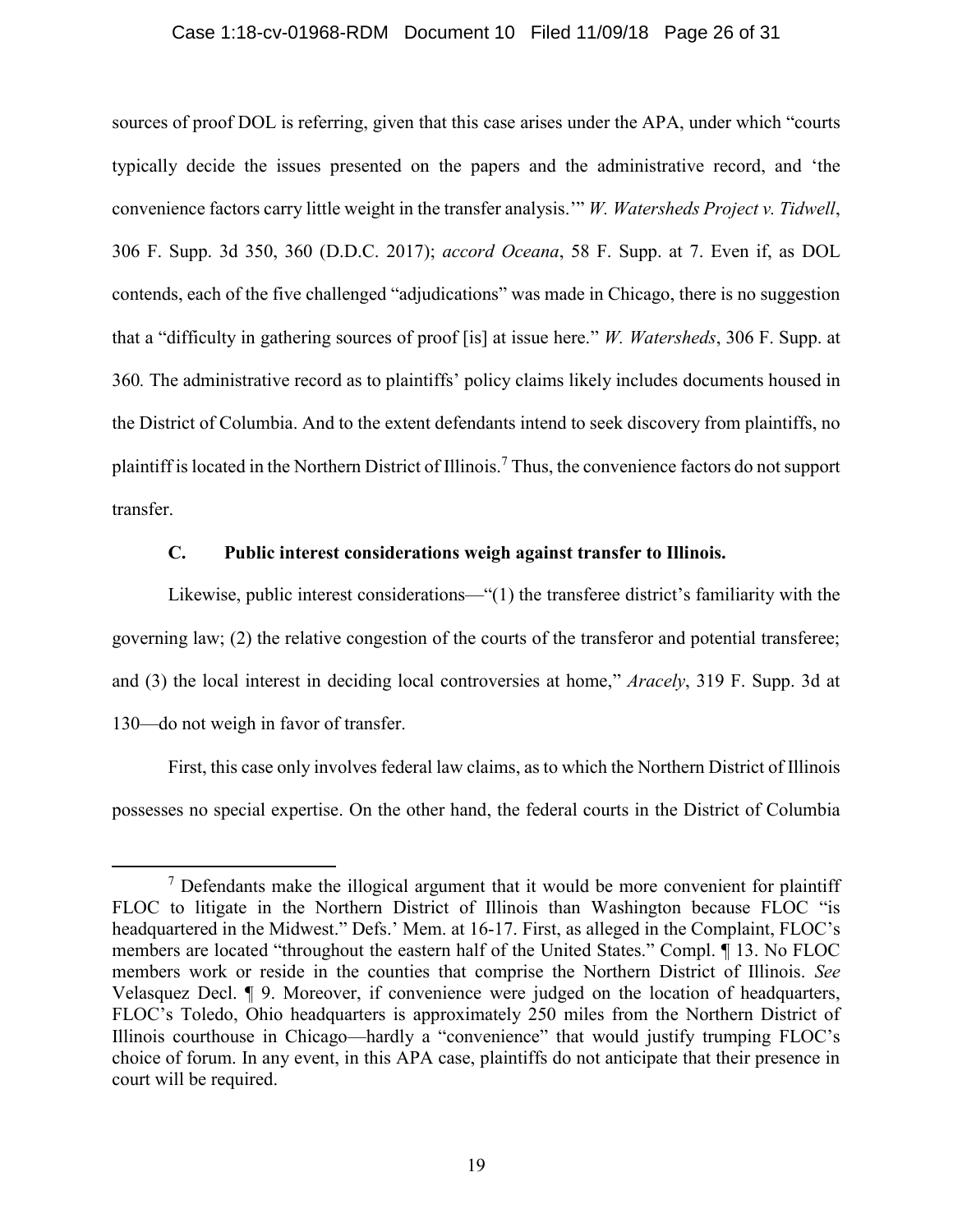## Case 1:18-cv-01968-RDM Document 10 Filed 11/09/18 Page 26 of 31

sources of proof DOL is referring, given that this case arises under the APA, under which "courts typically decide the issues presented on the papers and the administrative record, and 'the convenience factors carry little weight in the transfer analysis.'" *W. Watersheds Project v. Tidwell*, 306 F. Supp. 3d 350, 360 (D.D.C. 2017); *accord Oceana*, 58 F. Supp. at 7. Even if, as DOL contends, each of the five challenged "adjudications" was made in Chicago, there is no suggestion that a "difficulty in gathering sources of proof [is] at issue here." *W. Watersheds*, 306 F. Supp. at 360*.* The administrative record as to plaintiffs' policy claims likely includes documents housed in the District of Columbia. And to the extent defendants intend to seek discovery from plaintiffs, no plaintiff is located in the Northern District of Illinois.<sup>7</sup> Thus, the convenience factors do not support transfer.

# **C. Public interest considerations weigh against transfer to Illinois.**

Likewise, public interest considerations—"(1) the transferee district's familiarity with the governing law; (2) the relative congestion of the courts of the transferor and potential transferee; and (3) the local interest in deciding local controversies at home," *Aracely*, 319 F. Supp. 3d at 130—do not weigh in favor of transfer.

First, this case only involves federal law claims, as to which the Northern District of Illinois possesses no special expertise. On the other hand, the federal courts in the District of Columbia

l

<sup>&</sup>lt;sup>7</sup> Defendants make the illogical argument that it would be more convenient for plaintiff FLOC to litigate in the Northern District of Illinois than Washington because FLOC "is headquartered in the Midwest." Defs.' Mem. at 16-17. First, as alleged in the Complaint, FLOC's members are located "throughout the eastern half of the United States." Compl. ¶ 13. No FLOC members work or reside in the counties that comprise the Northern District of Illinois. *See*  Velasquez Decl. ¶ 9. Moreover, if convenience were judged on the location of headquarters, FLOC's Toledo, Ohio headquarters is approximately 250 miles from the Northern District of Illinois courthouse in Chicago—hardly a "convenience" that would justify trumping FLOC's choice of forum. In any event, in this APA case, plaintiffs do not anticipate that their presence in court will be required.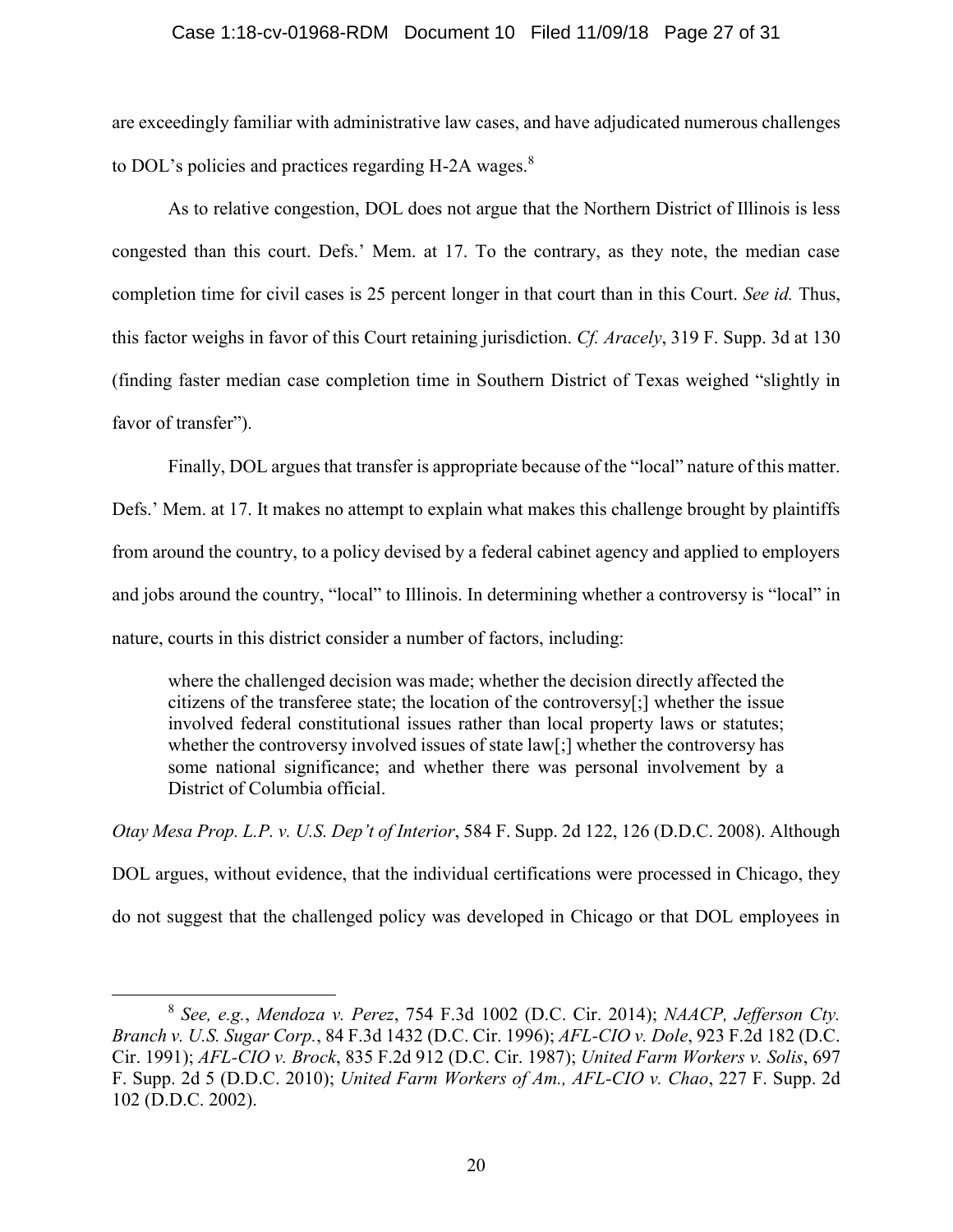# Case 1:18-cv-01968-RDM Document 10 Filed 11/09/18 Page 27 of 31

are exceedingly familiar with administrative law cases, and have adjudicated numerous challenges to DOL's policies and practices regarding H-2A wages. $8$ 

As to relative congestion, DOL does not argue that the Northern District of Illinois is less congested than this court. Defs.' Mem. at 17. To the contrary, as they note, the median case completion time for civil cases is 25 percent longer in that court than in this Court. *See id.* Thus, this factor weighs in favor of this Court retaining jurisdiction. *Cf. Aracely*, 319 F. Supp. 3d at 130 (finding faster median case completion time in Southern District of Texas weighed "slightly in favor of transfer").

Finally, DOL argues that transfer is appropriate because of the "local" nature of this matter.

Defs.' Mem. at 17. It makes no attempt to explain what makes this challenge brought by plaintiffs from around the country, to a policy devised by a federal cabinet agency and applied to employers and jobs around the country, "local" to Illinois. In determining whether a controversy is "local" in nature, courts in this district consider a number of factors, including:

where the challenged decision was made; whether the decision directly affected the citizens of the transferee state; the location of the controversy[;] whether the issue involved federal constitutional issues rather than local property laws or statutes; whether the controversy involved issues of state law[;] whether the controversy has some national significance; and whether there was personal involvement by a District of Columbia official.

*Otay Mesa Prop. L.P. v. U.S. Dep't of Interior*, 584 F. Supp. 2d 122, 126 (D.D.C. 2008). Although

DOL argues, without evidence, that the individual certifications were processed in Chicago, they do not suggest that the challenged policy was developed in Chicago or that DOL employees in

l

<sup>8</sup> *See, e.g.*, *Mendoza v. Perez*, 754 F.3d 1002 (D.C. Cir. 2014); *NAACP, Jefferson Cty. Branch v. U.S. Sugar Corp.*, 84 F.3d 1432 (D.C. Cir. 1996); *AFL-CIO v. Dole*, 923 F.2d 182 (D.C. Cir. 1991); *AFL-CIO v. Brock*, 835 F.2d 912 (D.C. Cir. 1987); *United Farm Workers v. Solis*, 697 F. Supp. 2d 5 (D.D.C. 2010); *United Farm Workers of Am., AFL-CIO v. Chao*, 227 F. Supp. 2d 102 (D.D.C. 2002).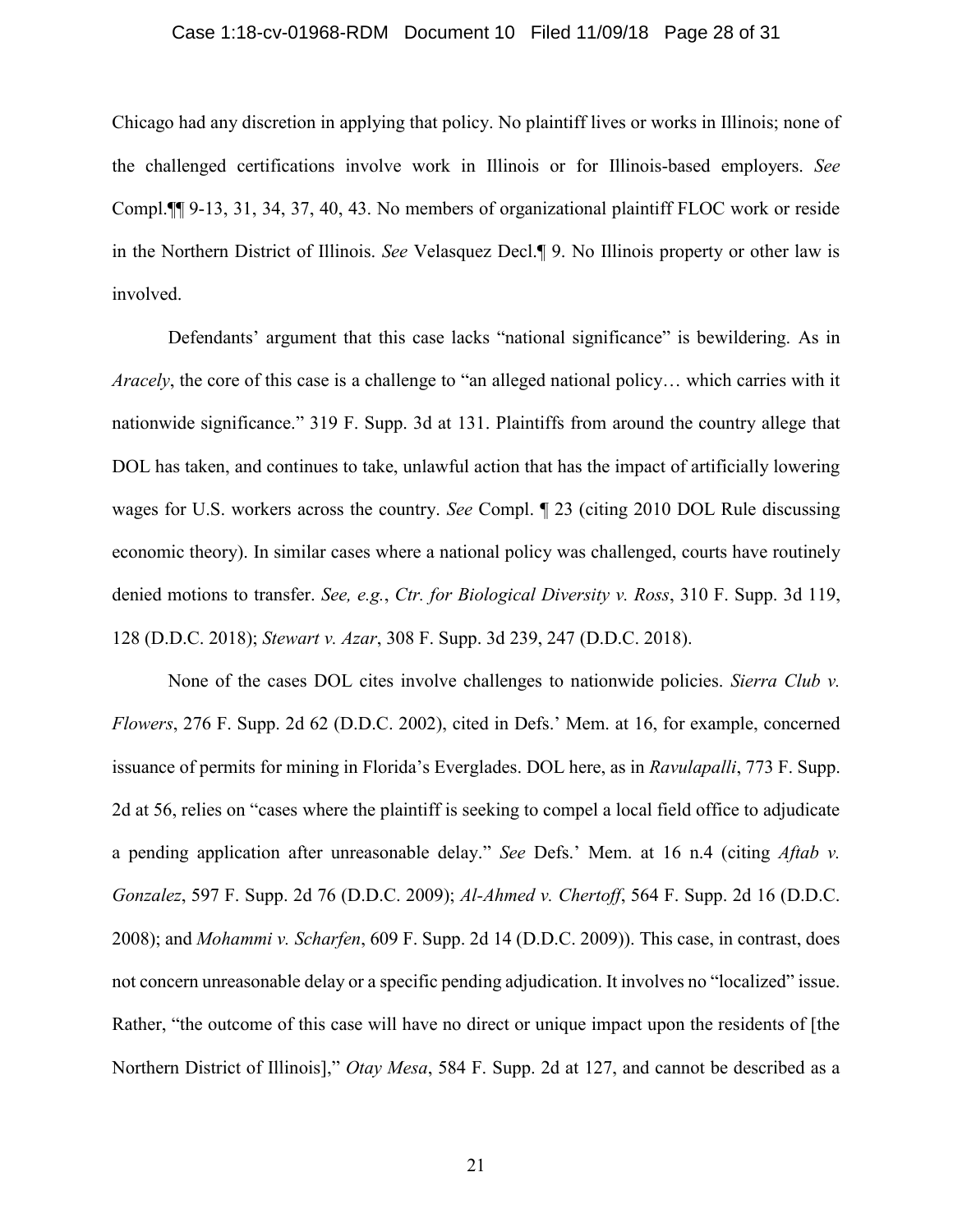### Case 1:18-cv-01968-RDM Document 10 Filed 11/09/18 Page 28 of 31

Chicago had any discretion in applying that policy. No plaintiff lives or works in Illinois; none of the challenged certifications involve work in Illinois or for Illinois-based employers. *See*  Compl.¶¶ 9-13, 31, 34, 37, 40, 43. No members of organizational plaintiff FLOC work or reside in the Northern District of Illinois. *See* Velasquez Decl.¶ 9. No Illinois property or other law is involved.

Defendants' argument that this case lacks "national significance" is bewildering. As in *Aracely*, the core of this case is a challenge to "an alleged national policy… which carries with it nationwide significance." 319 F. Supp. 3d at 131. Plaintiffs from around the country allege that DOL has taken, and continues to take, unlawful action that has the impact of artificially lowering wages for U.S. workers across the country. *See* Compl. ¶ 23 (citing 2010 DOL Rule discussing economic theory). In similar cases where a national policy was challenged, courts have routinely denied motions to transfer. *See, e.g.*, *Ctr. for Biological Diversity v. Ross*, 310 F. Supp. 3d 119, 128 (D.D.C. 2018); *Stewart v. Azar*, 308 F. Supp. 3d 239, 247 (D.D.C. 2018).

None of the cases DOL cites involve challenges to nationwide policies. *Sierra Club v. Flowers*, 276 F. Supp. 2d 62 (D.D.C. 2002), cited in Defs.' Mem. at 16, for example, concerned issuance of permits for mining in Florida's Everglades. DOL here, as in *Ravulapalli*, 773 F. Supp. 2d at 56, relies on "cases where the plaintiff is seeking to compel a local field office to adjudicate a pending application after unreasonable delay." *See* Defs.' Mem. at 16 n.4 (citing *Aftab v. Gonzalez*, 597 F. Supp. 2d 76 (D.D.C. 2009); *Al-Ahmed v. Chertoff*, 564 F. Supp. 2d 16 (D.D.C. 2008); and *Mohammi v. Scharfen*, 609 F. Supp. 2d 14 (D.D.C. 2009)). This case, in contrast, does not concern unreasonable delay or a specific pending adjudication. It involves no "localized" issue. Rather, "the outcome of this case will have no direct or unique impact upon the residents of [the Northern District of Illinois]," *Otay Mesa*, 584 F. Supp. 2d at 127, and cannot be described as a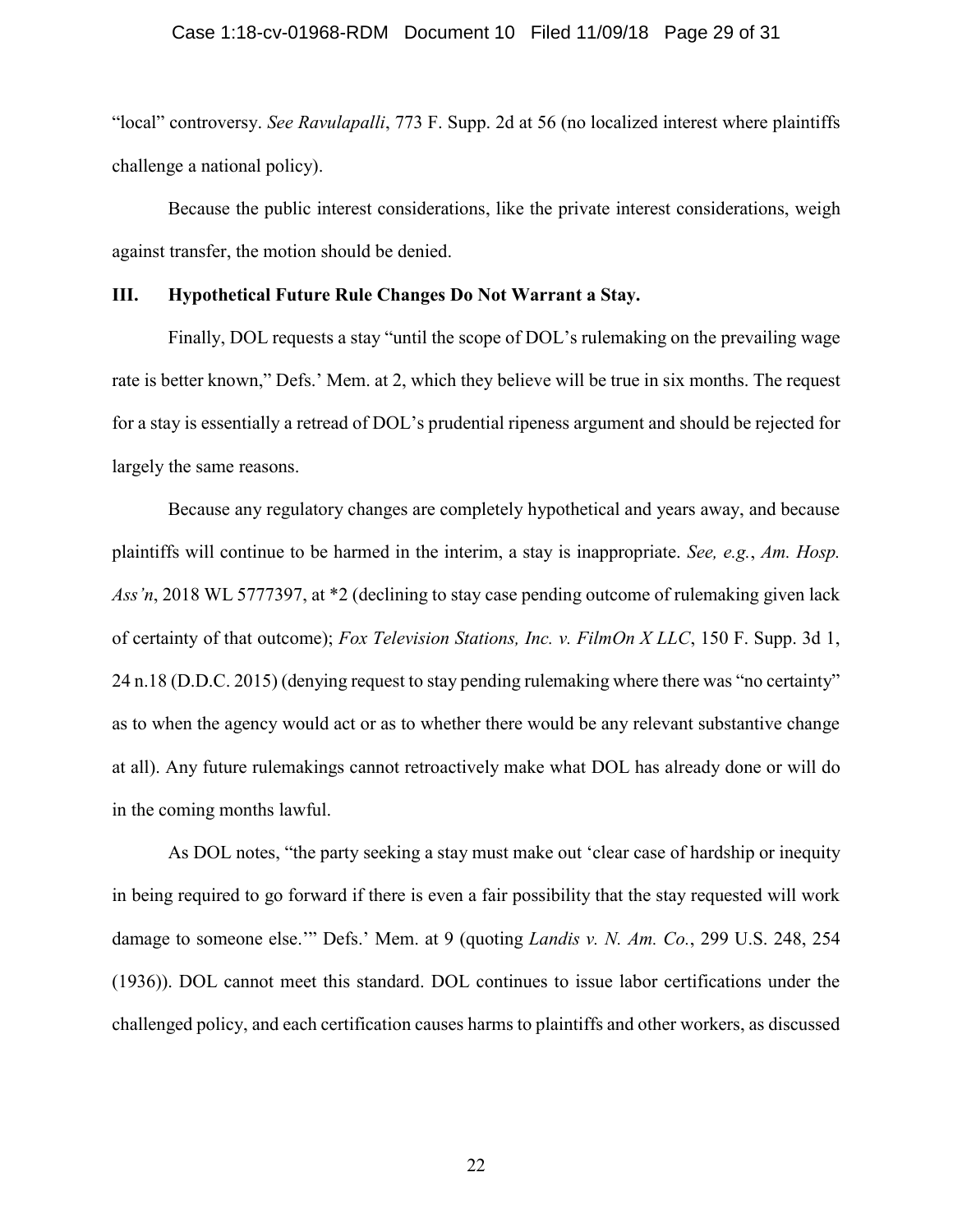### Case 1:18-cv-01968-RDM Document 10 Filed 11/09/18 Page 29 of 31

"local" controversy. *See Ravulapalli*, 773 F. Supp. 2d at 56 (no localized interest where plaintiffs challenge a national policy).

Because the public interest considerations, like the private interest considerations, weigh against transfer, the motion should be denied.

# **III. Hypothetical Future Rule Changes Do Not Warrant a Stay.**

Finally, DOL requests a stay "until the scope of DOL's rulemaking on the prevailing wage rate is better known," Defs.' Mem. at 2, which they believe will be true in six months. The request for a stay is essentially a retread of DOL's prudential ripeness argument and should be rejected for largely the same reasons.

Because any regulatory changes are completely hypothetical and years away, and because plaintiffs will continue to be harmed in the interim, a stay is inappropriate. *See, e.g.*, *Am. Hosp. Ass'n*, 2018 WL 5777397, at \*2 (declining to stay case pending outcome of rulemaking given lack of certainty of that outcome); *Fox Television Stations, Inc. v. FilmOn X LLC*, 150 F. Supp. 3d 1, 24 n.18 (D.D.C. 2015) (denying request to stay pending rulemaking where there was "no certainty" as to when the agency would act or as to whether there would be any relevant substantive change at all). Any future rulemakings cannot retroactively make what DOL has already done or will do in the coming months lawful.

As DOL notes, "the party seeking a stay must make out 'clear case of hardship or inequity in being required to go forward if there is even a fair possibility that the stay requested will work damage to someone else.'" Defs.' Mem. at 9 (quoting *Landis v. N. Am. Co.*, 299 U.S. 248, 254 (1936)). DOL cannot meet this standard. DOL continues to issue labor certifications under the challenged policy, and each certification causes harms to plaintiffs and other workers, as discussed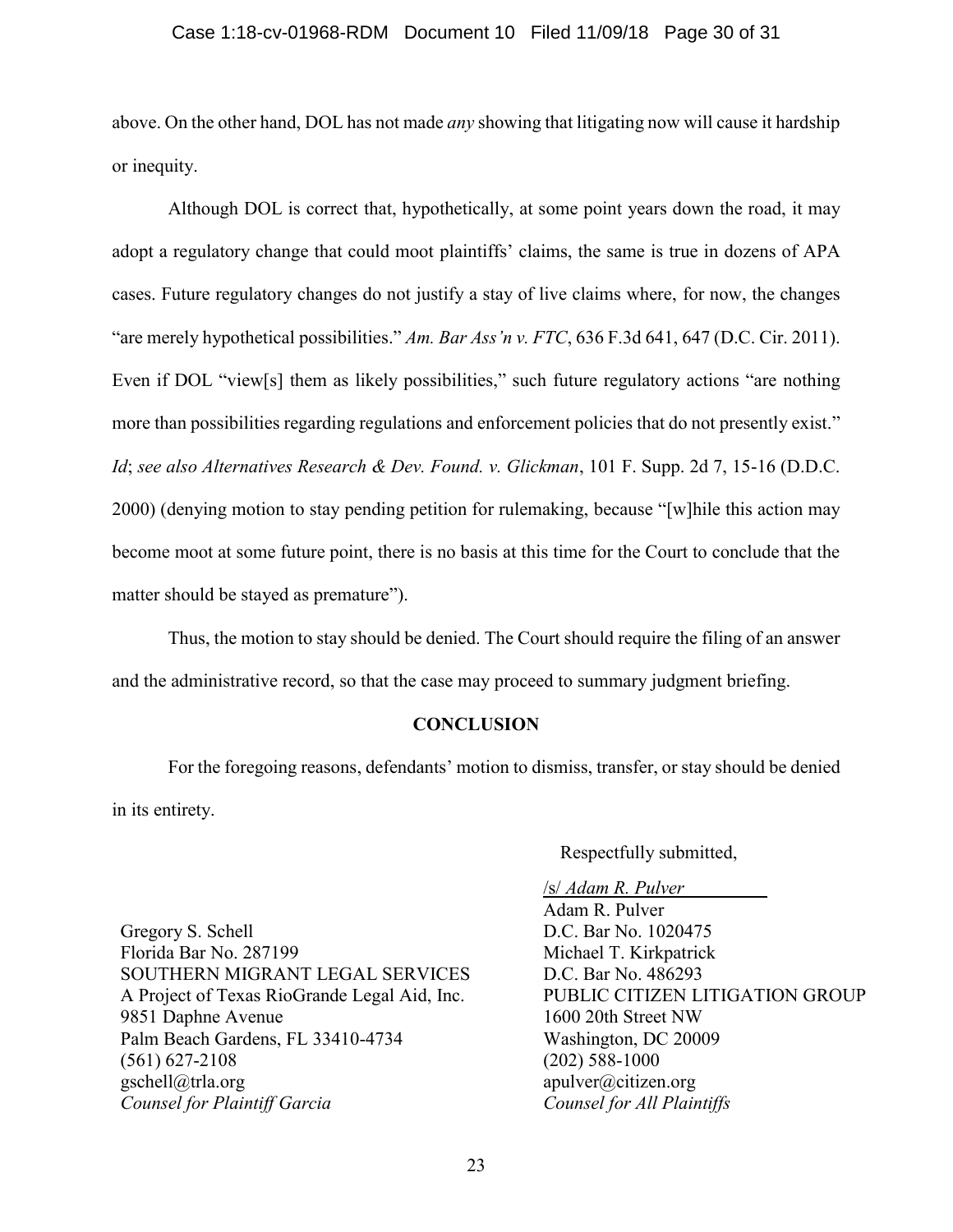# Case 1:18-cv-01968-RDM Document 10 Filed 11/09/18 Page 30 of 31

above. On the other hand, DOL has not made *any* showing that litigating now will cause it hardship or inequity.

Although DOL is correct that, hypothetically, at some point years down the road, it may adopt a regulatory change that could moot plaintiffs' claims, the same is true in dozens of APA cases. Future regulatory changes do not justify a stay of live claims where, for now, the changes "are merely hypothetical possibilities." *Am. Bar Ass'n v. FTC*, 636 F.3d 641, 647 (D.C. Cir. 2011). Even if DOL "view[s] them as likely possibilities," such future regulatory actions "are nothing more than possibilities regarding regulations and enforcement policies that do not presently exist." *Id*; *see also Alternatives Research & Dev. Found. v. Glickman*, 101 F. Supp. 2d 7, 15-16 (D.D.C. 2000) (denying motion to stay pending petition for rulemaking, because "[w]hile this action may become moot at some future point, there is no basis at this time for the Court to conclude that the matter should be stayed as premature").

Thus, the motion to stay should be denied. The Court should require the filing of an answer and the administrative record, so that the case may proceed to summary judgment briefing.

# **CONCLUSION**

<span id="page-29-0"></span>For the foregoing reasons, defendants' motion to dismiss, transfer, or stay should be denied in its entirety.

Respectfully submitted,

Gregory S. Schell Florida Bar No. 287199 SOUTHERN MIGRANT LEGAL SERVICES A Project of Texas RioGrande Legal Aid, Inc. 9851 Daphne Avenue Palm Beach Gardens, FL 33410-4734 (561) 627-2108 gschell@trla.org *Counsel for Plaintiff Garcia*

/s/ *Adam R. Pulver* Adam R. Pulver D.C. Bar No. 1020475 Michael T. Kirkpatrick D.C. Bar No. 486293 PUBLIC CITIZEN LITIGATION GROUP 1600 20th Street NW Washington, DC 20009 (202) 588-1000 apulver@citizen.org *Counsel for All Plaintiffs*